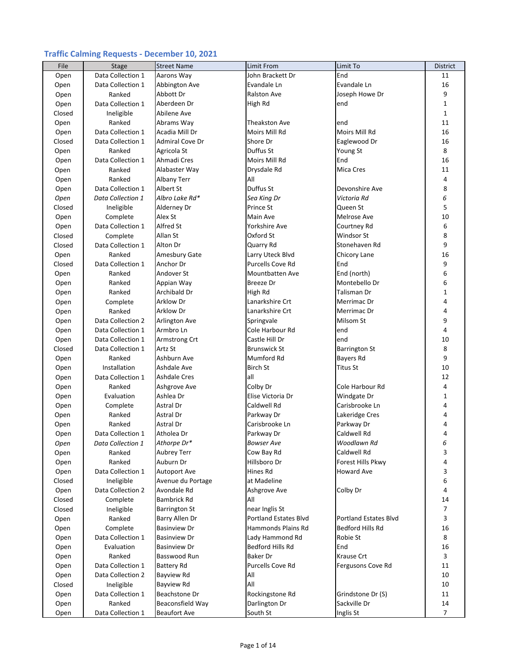## **Traffic Calming Requests ‐ December 10, 2021**

| File   | Stage             | <b>Street Name</b>   | Limit From                   | Limit To                     | <b>District</b> |
|--------|-------------------|----------------------|------------------------------|------------------------------|-----------------|
| Open   | Data Collection 1 | Aarons Way           | John Brackett Dr             | End                          | 11              |
| Open   | Data Collection 1 | Abbington Ave        | Evandale Ln                  | Evandale Ln                  | 16              |
| Open   | Ranked            | Abbott Dr            | <b>Ralston Ave</b>           | Joseph Howe Dr               | 9               |
| Open   | Data Collection 1 | Aberdeen Dr          | High Rd                      | end                          | 1               |
| Closed | Ineligible        | Abilene Ave          |                              |                              | $\mathbf{1}$    |
| Open   | Ranked            | Abrams Way           | <b>Theakston Ave</b>         | end                          | 11              |
| Open   | Data Collection 1 | Acadia Mill Dr       | Moirs Mill Rd                | Moirs Mill Rd                | 16              |
| Closed | Data Collection 1 | Admiral Cove Dr      | Shore Dr                     | Eaglewood Dr                 | 16              |
| Open   | Ranked            | Agricola St          | Duffus St                    | Young St                     | 8               |
| Open   | Data Collection 1 | Ahmadi Cres          | Moirs Mill Rd                | End                          | 16              |
|        | Ranked            | Alabaster Way        |                              | <b>Mica Cres</b>             | 11              |
| Open   |                   |                      | Drysdale Rd                  |                              | 4               |
| Open   | Ranked            | <b>Albany Terr</b>   | All                          |                              |                 |
| Open   | Data Collection 1 | Albert St            | Duffus St                    | Devonshire Ave               | 8               |
| Open   | Data Collection 1 | Albro Lake Rd*       | Sea King Dr                  | Victoria Rd                  | 6               |
| Closed | Ineligible        | Alderney Dr          | Prince St                    | Queen St                     | 5               |
| Open   | Complete          | Alex St              | Main Ave                     | Melrose Ave                  | 10              |
| Open   | Data Collection 1 | Alfred St            | Yorkshire Ave                | Courtney Rd                  | 6               |
| Closed | Complete          | Allan St             | Oxford St                    | Windsor St                   | 8               |
| Closed | Data Collection 1 | Alton Dr             | Quarry Rd                    | Stonehaven Rd                | 9               |
| Open   | Ranked            | Amesbury Gate        | Larry Uteck Blvd             | Chicory Lane                 | 16              |
| Closed | Data Collection 1 | Anchor Dr            | Purcells Cove Rd             | End                          | 9               |
| Open   | Ranked            | Andover St           | <b>Mountbatten Ave</b>       | End (north)                  | 6               |
| Open   | Ranked            | Appian Way           | <b>Breeze</b> Dr             | Montebello Dr                | 6               |
| Open   | Ranked            | Archibald Dr         | High Rd                      | Talisman Dr                  | 1               |
| Open   | Complete          | <b>Arklow Dr</b>     | Lanarkshire Crt              | Merrimac Dr                  | 4               |
| Open   | Ranked            | Arklow Dr            | Lanarkshire Crt              | Merrimac Dr                  | $\overline{4}$  |
| Open   | Data Collection 2 | Arlington Ave        | Springvale                   | Milsom St                    | 9               |
| Open   | Data Collection 1 | Armbro Ln            | Cole Harbour Rd              | end                          | $\overline{4}$  |
| Open   | Data Collection 1 | Armstrong Crt        | Castle Hill Dr               | end                          | 10              |
| Closed | Data Collection 1 | Artz St              | <b>Brunswick St</b>          | <b>Barrington St</b>         | 8               |
| Open   | Ranked            | Ashburn Ave          | Mumford Rd                   | Bayers Rd                    | 9               |
| Open   | Installation      | Ashdale Ave          | <b>Birch St</b>              | <b>Titus St</b>              | 10              |
| Open   | Data Collection 1 | <b>Ashdale Cres</b>  | all                          |                              | 12              |
| Open   | Ranked            | Ashgrove Ave         | Colby Dr                     | Cole Harbour Rd              | $\overline{4}$  |
| Open   | Evaluation        | Ashlea Dr            | Elise Victoria Dr            | Windgate Dr                  | $\mathbf 1$     |
| Open   | Complete          | Astral Dr            | Caldwell Rd                  | Carisbrooke Ln               | 4               |
| Open   | Ranked            | Astral Dr            | Parkway Dr                   | Lakeridge Cres               | 4               |
| Open   | Ranked            | Astral Dr            | Carisbrooke Ln               | Parkway Dr                   | 4               |
|        | Data Collection 1 | Atholea Dr           | Parkway Dr                   | Caldwell Rd                  | 4               |
| Open   | Data Collection 1 | Athorpe Dr*          | <b>Bowser Ave</b>            | Woodlawn Rd                  | 6               |
| Open   |                   |                      |                              | Caldwell Rd                  | 3               |
| Open   | Ranked            | Aubrey Terr          | Cow Bay Rd                   |                              | $\overline{4}$  |
| Open   | Ranked            | Auburn Dr            | Hillsboro Dr                 | Forest Hills Pkwy            |                 |
| Open   | Data Collection 1 | <b>Autoport Ave</b>  | Hines Rd                     | Howard Ave                   | 3               |
| Closed | Ineligible        | Avenue du Portage    | at Madeline                  |                              | 6               |
| Open   | Data Collection 2 | Avondale Rd          | Ashgrove Ave                 | Colby Dr                     | 4               |
| Closed | Complete          | <b>Bambrick Rd</b>   | All                          |                              | 14              |
| Closed | Ineligible        | <b>Barrington St</b> | near Inglis St               |                              | 7               |
| Open   | Ranked            | Barry Allen Dr       | <b>Portland Estates Blvd</b> | <b>Portland Estates Blvd</b> | 3               |
| Open   | Complete          | <b>Basinview Dr</b>  | <b>Hammonds Plains Rd</b>    | Bedford Hills Rd             | 16              |
| Open   | Data Collection 1 | <b>Basinview Dr</b>  | Lady Hammond Rd              | Robie St                     | 8               |
| Open   | Evaluation        | <b>Basinview Dr</b>  | Bedford Hills Rd             | End                          | 16              |
| Open   | Ranked            | Basswood Run         | Baker Dr                     | <b>Krause Crt</b>            | 3               |
| Open   | Data Collection 1 | <b>Battery Rd</b>    | Purcells Cove Rd             | Fergusons Cove Rd            | 11              |
| Open   | Data Collection 2 | <b>Bayview Rd</b>    | All                          |                              | 10              |
| Closed | Ineligible        | <b>Bayview Rd</b>    | All                          |                              | 10              |
| Open   | Data Collection 1 | Beachstone Dr        | Rockingstone Rd              | Grindstone Dr (S)            | 11              |
| Open   | Ranked            | Beaconsfield Way     | Darlington Dr                | Sackville Dr                 | 14              |
| Open   | Data Collection 1 | <b>Beaufort Ave</b>  | South St                     | Inglis St                    | $\overline{7}$  |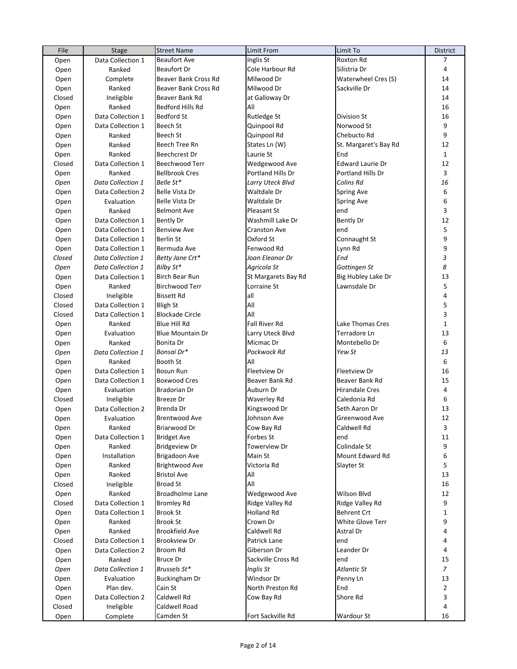| File   | <b>Stage</b>      | <b>Street Name</b>      | Limit From           | Limit To                 | <b>District</b> |
|--------|-------------------|-------------------------|----------------------|--------------------------|-----------------|
| Open   | Data Collection 1 | <b>Beaufort Ave</b>     | Inglis St            | Roxton Rd                | 7               |
| Open   | Ranked            | <b>Beaufort Dr</b>      | Cole Harbour Rd      | Silistria Dr             | 4               |
| Open   | Complete          | Beaver Bank Cross Rd    | Milwood Dr           | Waterwheel Cres (S)      | 14              |
| Open   | Ranked            | Beaver Bank Cross Rd    | Milwood Dr           | Sackville Dr             | 14              |
| Closed | Ineligible        | Beaver Bank Rd          | at Galloway Dr       |                          | 14              |
| Open   | Ranked            | Bedford Hills Rd        | All                  |                          | 16              |
| Open   | Data Collection 1 | <b>Bedford St</b>       | Rutledge St          | Division St              | 16              |
| Open   | Data Collection 1 | Beech St                | Quinpool Rd          | Norwood St               | 9               |
|        | Ranked            | Beech St                | Quinpool Rd          | Chebucto Rd              | 9               |
| Open   | Ranked            | Beech Tree Rn           | States Ln (W)        | St. Margaret's Bay Rd    | 12              |
| Open   |                   |                         |                      |                          |                 |
| Open   | Ranked            | Beechcrest Dr           | Laurie St            | End                      | $\mathbf{1}$    |
| Closed | Data Collection 1 | Beechwood Terr          | Wedgewood Ave        | <b>Edward Laurie Dr</b>  | 12              |
| Open   | Ranked            | <b>Bellbrook Cres</b>   | Portland Hills Dr    | <b>Portland Hills Dr</b> | 3               |
| Open   | Data Collection 1 | Belle St*               | Larry Uteck Blvd     | Colins Rd                | 16              |
| Open   | Data Collection 2 | Belle Vista Dr          | Waltdale Dr          | Spring Ave               | 6               |
| Open   | Evaluation        | Belle Vista Dr          | Waltdale Dr          | Spring Ave               | 6               |
| Open   | Ranked            | <b>Belmont Ave</b>      | Pleasant St          | end                      | 3               |
| Open   | Data Collection 1 | <b>Bently Dr</b>        | Washmill Lake Dr     | Bently Dr                | 12              |
| Open   | Data Collection 1 | <b>Benview Ave</b>      | <b>Cranston Ave</b>  | end                      | 5               |
| Open   | Data Collection 1 | Berlin St               | Oxford St            | Connaught St             | 9               |
| Open   | Data Collection 1 | Bermuda Ave             | Fenwood Rd           | Lynn Rd                  | 9               |
| Closed | Data Collection 1 | Betty Jane Crt*         | Joan Eleanor Dr      | End                      | 3               |
| Open   | Data Collection 1 | Bilby St*               | Agricola St          | Gottingen St             | 8               |
| Open   | Data Collection 1 | Birch Bear Run          | St Margarets Bay Rd  | Big Hubley Lake Dr       | 13              |
| Open   | Ranked            | <b>Birchwood Terr</b>   | Lorraine St          | Lawnsdale Dr             | 5               |
| Closed | Ineligible        | <b>Bissett Rd</b>       | all                  |                          | 4               |
| Closed | Data Collection 1 | <b>Bligh St</b>         | All                  |                          | 5               |
| Closed | Data Collection 1 | <b>Blockade Circle</b>  | All                  |                          | 3               |
| Open   | Ranked            | Blue Hill Rd            | <b>Fall River Rd</b> | Lake Thomas Cres         | $\mathbf{1}$    |
| Open   | Evaluation        | <b>Blue Mountain Dr</b> | Larry Uteck Blvd     | Terradore Ln             | 13              |
|        | Ranked            | Bonita Dr               | Micmac Dr            | Montebello Dr            | 6               |
| Open   |                   |                         | Pockwock Rd          |                          | 13              |
| Open   | Data Collection 1 | Bonsai Dr*              |                      | Yew St                   |                 |
| Open   | Ranked            | Booth St                | All                  |                          | 6               |
| Open   | Data Collection 1 | <b>Bosun Run</b>        | <b>Fleetview Dr</b>  | Fleetview Dr             | 16              |
| Open   | Data Collection 1 | <b>Boxwood Cres</b>     | Beaver Bank Rd       | Beaver Bank Rd           | 15              |
| Open   | Evaluation        | Bradorian Dr            | Auburn Dr            | <b>Hirandale Cres</b>    | 4               |
| Closed | Ineligible        | <b>Breeze Dr</b>        | <b>Waverley Rd</b>   | Caledonia Rd             | 6               |
| Open   | Data Collection 2 | Brenda Dr               | Kingswood Dr         | Seth Aaron Dr            | 13              |
| Open   | Evaluation        | <b>Brentwood Ave</b>    | Johnson Ave          | Greenwood Ave            | 12              |
| Open   | Ranked            | Briarwood Dr            | Cow Bay Rd           | Caldwell Rd              | 3               |
| Open   | Data Collection 1 | <b>Bridget Ave</b>      | Forbes St            | end                      | 11              |
| Open   | Ranked            | <b>Bridgeview Dr</b>    | Towerview Dr         | Colindale St             | 9               |
| Open   | Installation      | Brigadoon Ave           | Main St              | Mount Edward Rd          | 6               |
| Open   | Ranked            | Brightwood Ave          | Victoria Rd          | Slayter St               | 5               |
| Open   | Ranked            | <b>Bristol Ave</b>      | All                  |                          | 13              |
| Closed | Ineligible        | <b>Broad St</b>         | All                  |                          | 16              |
| Open   | Ranked            | Broadholme Lane         | Wedgewood Ave        | Wilson Blvd              | 12              |
| Closed | Data Collection 1 | <b>Bromley Rd</b>       | Ridge Valley Rd      | Ridge Valley Rd          | 9               |
| Open   | Data Collection 1 | <b>Brook St</b>         | Holland Rd           | <b>Behrent Crt</b>       | $\mathbf{1}$    |
| Open   | Ranked            | <b>Brook St</b>         | Crown Dr             | White Glove Terr         | 9               |
| Open   | Ranked            | Brookfield Ave          | Caldwell Rd          | Astral Dr                | 4               |
| Closed | Data Collection 1 | Brookview Dr            | Patrick Lane         | end                      | 4               |
|        |                   |                         |                      |                          | 4               |
| Open   | Data Collection 2 | Broom Rd                | Giberson Dr          | Leander Dr               |                 |
| Open   | Ranked            | <b>Bruce Dr</b>         | Sackville Cross Rd   | end                      | 15              |
| Open   | Data Collection 1 | Brussels St*            | Inglis St            | Atlantic St              | $\overline{7}$  |
| Open   | Evaluation        | <b>Buckingham Dr</b>    | Windsor Dr           | Penny Ln                 | 13              |
| Open   | Plan dev.         | Cain St                 | North Preston Rd     | End                      | $\overline{2}$  |
| Open   | Data Collection 2 | Caldwell Rd             | Cow Bay Rd           | Shore Rd                 | 3               |
| Closed | Ineligible        | Caldwell Road           |                      |                          | 4               |
| Open   | Complete          | Camden St               | Fort Sackville Rd    | Wardour St               | 16              |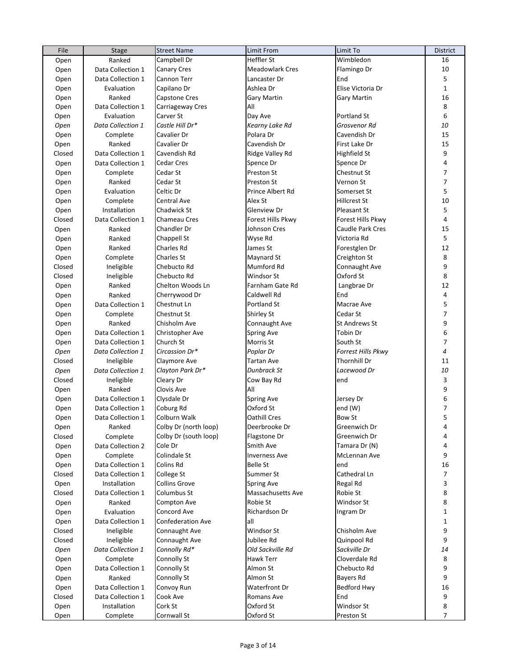| File   | <b>Stage</b>      | <b>Street Name</b>       | Limit From             | Limit To             | District       |
|--------|-------------------|--------------------------|------------------------|----------------------|----------------|
| Open   | Ranked            | Campbell Dr              | Heffler St             | Wimbledon            | 16             |
| Open   | Data Collection 1 | <b>Canary Cres</b>       | <b>Meadowlark Cres</b> | Flamingo Dr          | 10             |
| Open   | Data Collection 1 | Cannon Terr              | Lancaster Dr           | End                  | 5              |
| Open   | Evaluation        | Capilano Dr              | Ashlea Dr              | Elise Victoria Dr    | $\mathbf{1}$   |
| Open   | Ranked            | Capstone Cres            | Gary Martin            | <b>Gary Martin</b>   | 16             |
| Open   | Data Collection 1 | Carriageway Cres         | All                    |                      | 8              |
| Open   | Evaluation        | Carver St                | Day Ave                | Portland St          | 6              |
| Open   | Data Collection 1 | Castle Hill Dr*          | Kearny Lake Rd         | Grosvenor Rd         | 10             |
| Open   | Complete          | Cavalier Dr              | Polara Dr              | Cavendish Dr         | 15             |
| Open   | Ranked            | Cavalier Dr              | Cavendish Dr           | First Lake Dr        | 15             |
| Closed | Data Collection 1 | Cavendish Rd             | Ridge Valley Rd        | Highfield St         | 9              |
| Open   | Data Collection 1 | Cedar Cres               | Spence Dr              | Spence Dr            | 4              |
| Open   | Complete          | Cedar St                 | Preston St             | Chestnut St          | 7              |
| Open   | Ranked            | Cedar St                 | Preston St             | Vernon St            | $\overline{7}$ |
| Open   | Evaluation        | Celtic Dr                | Prince Albert Rd       | Somerset St          | 5              |
| Open   | Complete          | Central Ave              | Alex St                | Hillcrest St         | 10             |
| Open   | Installation      | Chadwick St              | Glenview Dr            | Pleasant St          | 5              |
| Closed | Data Collection 1 | Chameau Cres             | Forest Hills Pkwy      | Forest Hills Pkwy    | 4              |
| Open   | Ranked            | Chandler Dr              | Johnson Cres           | Caudle Park Cres     | 15             |
|        | Ranked            | Chappell St              | Wyse Rd                | Victoria Rd          | 5              |
| Open   | Ranked            | <b>Charles Rd</b>        | James St               |                      | 12             |
| Open   |                   |                          |                        | Forestglen Dr        |                |
| Open   | Complete          | Charles St               | Maynard St             | Creighton St         | 8              |
| Closed | Ineligible        | Chebucto Rd              | Mumford Rd             | Connaught Ave        | 9              |
| Closed | Ineligible        | Chebucto Rd              | Windsor St             | Oxford St            | 8              |
| Open   | Ranked            | Chelton Woods Ln         | Farnham Gate Rd        | Langbrae Dr          | 12             |
| Open   | Ranked            | Cherrywood Dr            | Caldwell Rd            | End                  | 4              |
| Open   | Data Collection 1 | Chestnut Ln              | Portland St            | Macrae Ave           | 5              |
| Open   | Complete          | Chestnut St              | Shirley St             | Cedar St             | $\overline{7}$ |
| Open   | Ranked            | Chisholm Ave             | Connaught Ave          | <b>St Andrews St</b> | 9              |
| Open   | Data Collection 1 | Christopher Ave          | Spring Ave             | Tobin Dr             | 6              |
| Open   | Data Collection 1 | Church St                | Morris St              | South St             | 7              |
| Open   | Data Collection 1 | Circassion Dr*           | Poplar Dr              | Forrest Hills Pkwy   | 4              |
| Closed | Ineligible        | Claymore Ave             | Tartan Ave             | Thornhill Dr         | 11             |
| Open   | Data Collection 1 | Clayton Park Dr*         | Dunbrack St            | Lacewood Dr          | 10             |
| Closed | Ineligible        | Cleary Dr                | Cow Bay Rd             | end                  | 3              |
| Open   | Ranked            | Clovis Ave               | All                    |                      | 9              |
| Open   | Data Collection 1 | Clysdale Dr              | Spring Ave             | Jersey Dr            | 6              |
| Open   | Data Collection 1 | Coburg Rd                | Oxford St              | end (W)              | $\overline{7}$ |
| Open   | Data Collection 1 | Colburn Walk             | Oathill Cres           | <b>Bow St</b>        | 5              |
| Open   | Ranked            | Colby Dr (north loop)    | Deerbrooke Dr          | Greenwich Dr         | 4              |
| Closed | Complete          | Colby Dr (south loop)    | Flagstone Dr           | Greenwich Dr         | 4              |
| Open   | Data Collection 2 | Cole Dr                  | Smith Ave              | Tamara Dr (N)        | 4              |
| Open   | Complete          | Colindale St             | <b>Inverness Ave</b>   | McLennan Ave         | 9              |
| Open   | Data Collection 1 | Colins Rd                | <b>Belle St</b>        | end                  | 16             |
| Closed | Data Collection 1 | College St               | Summer St              | Cathedral Ln         | 7              |
| Open   | Installation      | <b>Collins Grove</b>     | Spring Ave             | Regal Rd             | 3              |
| Closed | Data Collection 1 | Columbus St              | Massachusetts Ave      | Robie St             | 8              |
| Open   | Ranked            | Compton Ave              | Robie St               | Windsor St           | 8              |
| Open   | Evaluation        | Concord Ave              | Richardson Dr          | Ingram Dr            | $\mathbf{1}$   |
| Open   | Data Collection 1 | <b>Confederation Ave</b> | all                    |                      | $\mathbf{1}$   |
| Closed | Ineligible        | Connaught Ave            | Windsor St             | Chisholm Ave         | 9              |
| Closed | Ineligible        | Connaught Ave            | Jubilee Rd             | Quinpool Rd          | 9              |
| Open   | Data Collection 1 | Connolly Rd*             | Old Sackville Rd       | Sackville Dr         | 14             |
| Open   | Complete          | Connolly St              | Hawk Terr              | Cloverdale Rd        | 8              |
| Open   | Data Collection 1 | Connolly St              | Almon St               | Chebucto Rd          | 9              |
| Open   | Ranked            | Connolly St              | Almon St               | Bayers Rd            | 9              |
| Open   | Data Collection 1 | Convoy Run               | Waterfront Dr          | Bedford Hwy          | 16             |
| Closed | Data Collection 1 | Cook Ave                 | Romans Ave             | End                  | 9              |
| Open   | Installation      | Cork St                  | Oxford St              | Windsor St           | 8              |
| Open   | Complete          | Cornwall St              | Oxford St              | Preston St           | $\overline{7}$ |
|        |                   |                          |                        |                      |                |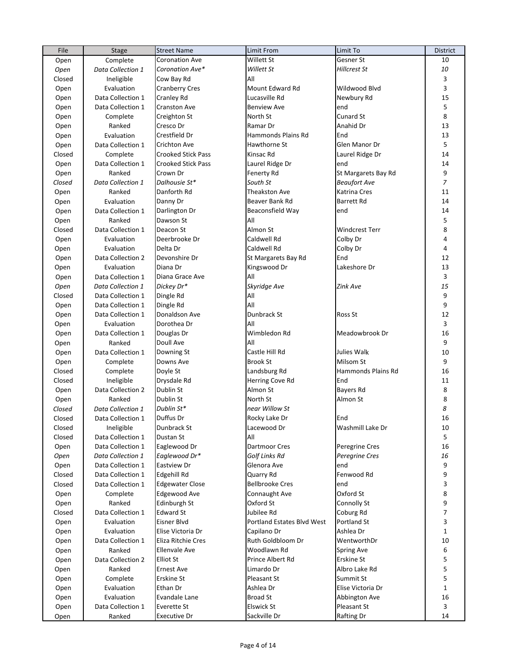| File         | Stage             | <b>Street Name</b>        | Limit From                        | Limit To            | <b>District</b> |
|--------------|-------------------|---------------------------|-----------------------------------|---------------------|-----------------|
| Open         | Complete          | <b>Coronation Ave</b>     | Willett St                        | Gesner St           | 10              |
| Open         | Data Collection 1 | Coronation Ave*           | Willett St                        | Hillcrest St        | 10              |
| Closed       | Ineligible        | Cow Bay Rd                | All                               |                     | 3               |
| Open         | Evaluation        | <b>Cranberry Cres</b>     | Mount Edward Rd                   | Wildwood Blvd       | 3               |
| Open         | Data Collection 1 | <b>Cranley Rd</b>         | Lucasville Rd                     | Newbury Rd          | 15              |
| Open         | Data Collection 1 | <b>Cranston Ave</b>       | <b>Benview Ave</b>                | end                 | 5               |
| Open         | Complete          | Creighton St              | North St                          | Cunard St           | 8               |
| Open         | Ranked            | Cresco Dr                 | Ramar Dr                          | Anahid Dr           | 13              |
| Open         | Evaluation        | Crestfield Dr             | Hammonds Plains Rd                | End                 | 13              |
|              | Data Collection 1 |                           |                                   | Glen Manor Dr       | 5               |
| Open         |                   | <b>Crichton Ave</b>       | Hawthorne St                      |                     |                 |
| Closed       | Complete          | <b>Crooked Stick Pass</b> | Kinsac Rd                         | Laurel Ridge Dr     | 14              |
| Open         | Data Collection 1 | <b>Crooked Stick Pass</b> | Laurel Ridge Dr                   | end                 | 14              |
| Open         | Ranked            | Crown Dr                  | Fenerty Rd                        | St Margarets Bay Rd | 9               |
| Closed       | Data Collection 1 | Dalhousie St*             | South St                          | <b>Beaufort Ave</b> | $\overline{7}$  |
| Open         | Ranked            | Danforth Rd               | Theakston Ave                     | Katrina Cres        | 11              |
| Open         | Evaluation        | Danny Dr                  | Beaver Bank Rd                    | <b>Barrett Rd</b>   | 14              |
| Open         | Data Collection 1 | Darlington Dr             | Beaconsfield Way                  | end                 | 14              |
| Open         | Ranked            | Dawson St                 | All                               |                     | 5               |
| Closed       | Data Collection 1 | Deacon St                 | Almon St                          | Windcrest Terr      | 8               |
| Open         | Evaluation        | Deerbrooke Dr             | Caldwell Rd                       | Colby Dr            | 4               |
| Open         | Evaluation        | Delta Dr                  | Caldwell Rd                       | Colby Dr            | 4               |
| Open         | Data Collection 2 | Devonshire Dr             | St Margarets Bay Rd               | End                 | 12              |
| Open         | Evaluation        | Diana Dr                  | Kingswood Dr                      | Lakeshore Dr        | 13              |
| Open         | Data Collection 1 | Diana Grace Ave           | All                               |                     | 3               |
| Open         | Data Collection 1 | Dickey Dr*                | Skyridge Ave                      | Zink Ave            | 15              |
| Closed       | Data Collection 1 | Dingle Rd                 | All                               |                     | 9               |
| Open         | Data Collection 1 | Dingle Rd                 | All                               |                     | 9               |
| Open         | Data Collection 1 | Donaldson Ave             | Dunbrack St                       | Ross St             | 12              |
| Open         | Evaluation        | Dorothea Dr               | All                               |                     | 3               |
| Open         | Data Collection 1 | Douglas Dr                | Wimbledon Rd                      | Meadowbrook Dr      | 16              |
|              | Ranked            | Doull Ave                 | All                               |                     | 9               |
| Open<br>Open | Data Collection 1 | Downing St                | Castle Hill Rd                    | Julies Walk         | 10              |
|              |                   | Downs Ave                 | <b>Brook St</b>                   | Milsom St           | 9               |
| Open         | Complete          |                           |                                   |                     | 16              |
| Closed       | Complete          | Doyle St                  | Landsburg Rd                      | Hammonds Plains Rd  | 11              |
| Closed       | Ineligible        | Drysdale Rd               | Herring Cove Rd                   | End                 |                 |
| Open         | Data Collection 2 | Dublin St                 | Almon St                          | Bayers Rd           | 8               |
| Open         | Ranked            | Dublin St                 | North St                          | Almon St            | 8               |
| Closed       | Data Collection 1 | Dublin St*                | near Willow St                    |                     | 8               |
| Closed       | Data Collection 1 | Duffus Dr                 | Rocky Lake Dr                     | End                 | 16              |
| Closed       | Ineligible        | Dunbrack St               | Lacewood Dr                       | Washmill Lake Dr    | 10              |
| Closed       | Data Collection 1 | Dustan St                 | All                               |                     | 5               |
| Open         | Data Collection 1 | Eaglewood Dr              | Dartmoor Cres                     | Peregrine Cres      | 16              |
| Open         | Data Collection 1 | Eaglewood Dr*             | Golf Links Rd                     | Peregrine Cres      | 16              |
| Open         | Data Collection 1 | Eastview Dr               | Glenora Ave                       | end                 | 9               |
| Closed       | Data Collection 1 | <b>Edgehill Rd</b>        | Quarry Rd                         | Fenwood Rd          | 9               |
| Closed       | Data Collection 1 | <b>Edgewater Close</b>    | <b>Bellbrooke Cres</b>            | end                 | 3               |
| Open         | Complete          | <b>Edgewood Ave</b>       | Connaught Ave                     | Oxford St           | 8               |
| Open         | Ranked            | Edinburgh St              | Oxford St                         | Connolly St         | 9               |
| Closed       | Data Collection 1 | <b>Edward St</b>          | Jubilee Rd                        | Coburg Rd           | $\overline{7}$  |
| Open         | Evaluation        | Eisner Blvd               | <b>Portland Estates Blvd West</b> | Portland St         | 3               |
| Open         | Evaluation        | Elise Victoria Dr         | Capilano Dr                       | Ashlea Dr           | $\mathbf{1}$    |
| Open         | Data Collection 1 | Eliza Ritchie Cres        | Ruth Goldbloom Dr                 | WentworthDr         | 10              |
| Open         | Ranked            | <b>Ellenvale Ave</b>      | Woodlawn Rd                       | <b>Spring Ave</b>   | 6               |
| Open         | Data Collection 2 | <b>Elliot St</b>          | Prince Albert Rd                  | Erskine St          | 5               |
| Open         | Ranked            | <b>Ernest Ave</b>         | Limardo Dr                        | Albro Lake Rd       | 5               |
| Open         | Complete          | Erskine St                | Pleasant St                       | Summit St           | 5               |
| Open         | Evaluation        | Ethan Dr                  | Ashlea Dr                         | Elise Victoria Dr   | $\mathbf{1}$    |
| Open         | Evaluation        | Evandale Lane             | <b>Broad St</b>                   | Abbington Ave       | 16              |
| Open         | Data Collection 1 | Everette St               | Elswick St                        | Pleasant St         | 3               |
|              | Ranked            | <b>Executive Dr</b>       | Sackville Dr                      | Rafting Dr          | 14              |
| Open         |                   |                           |                                   |                     |                 |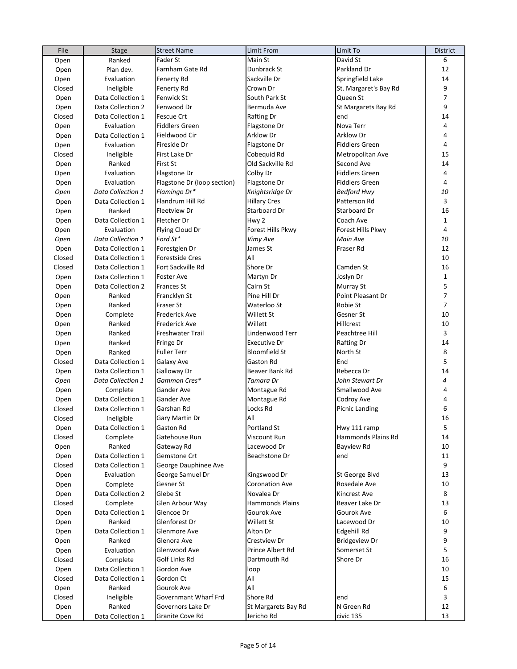| File   | Stage             | <b>Street Name</b>          | Limit From             | Limit To              | <b>District</b> |
|--------|-------------------|-----------------------------|------------------------|-----------------------|-----------------|
| Open   | Ranked            | Fader St                    | Main St                | David St              | 6               |
| Open   | Plan dev.         | Farnham Gate Rd             | Dunbrack St            | Parkland Dr           | 12              |
| Open   | Evaluation        | <b>Fenerty Rd</b>           | Sackville Dr           | Springfield Lake      | 14              |
| Closed | Ineligible        | <b>Fenerty Rd</b>           | Crown Dr               | St. Margaret's Bay Rd | 9               |
| Open   | Data Collection 1 | <b>Fenwick St</b>           | South Park St          | Queen St              | $\overline{7}$  |
| Open   | Data Collection 2 | Fenwood Dr                  | Bermuda Ave            | St Margarets Bay Rd   | 9               |
| Closed | Data Collection 1 | Fescue Crt                  | <b>Rafting Dr</b>      | end                   | 14              |
| Open   | Evaluation        | <b>Fiddlers Green</b>       | Flagstone Dr           | Nova Terr             | 4               |
| Open   | Data Collection 1 | Fieldwood Cir               | Arklow Dr              | <b>Arklow Dr</b>      | $\overline{4}$  |
| Open   | Evaluation        | Fireside Dr                 | Flagstone Dr           | <b>Fiddlers Green</b> | $\overline{4}$  |
| Closed | Ineligible        | First Lake Dr               | Cobequid Rd            | Metropolitan Ave      | 15              |
| Open   | Ranked            | <b>First St</b>             | Old Sackville Rd       | Second Ave            | 14              |
| Open   | Evaluation        | Flagstone Dr                | Colby Dr               | <b>Fiddlers Green</b> | $\overline{4}$  |
| Open   | Evaluation        | Flagstone Dr (loop section) | Flagstone Dr           | <b>Fiddlers Green</b> | $\overline{4}$  |
| Open   | Data Collection 1 | Flamingo Dr*                | Knightsridge Dr        | Bedford Hwy           | 10              |
|        | Data Collection 1 | Flandrum Hill Rd            | <b>Hillary Cres</b>    | Patterson Rd          | 3               |
| Open   | Ranked            | <b>Fleetview Dr</b>         | Starboard Dr           | Starboard Dr          | 16              |
| Open   | Data Collection 1 | Fletcher Dr                 | Hwy 2                  | Coach Ave             | $\mathbf{1}$    |
| Open   |                   |                             | Forest Hills Pkwy      | Forest Hills Pkwy     | $\overline{4}$  |
| Open   | Evaluation        | Flying Cloud Dr             |                        |                       |                 |
| Open   | Data Collection 1 | Ford St*                    | Vimy Ave               | Main Ave              | 10              |
| Open   | Data Collection 1 | Forestglen Dr               | James St               | Fraser Rd             | 12              |
| Closed | Data Collection 1 | <b>Forestside Cres</b>      | All                    |                       | 10              |
| Closed | Data Collection 1 | Fort Sackville Rd           | Shore Dr               | Camden St             | 16              |
| Open   | Data Collection 1 | <b>Foster Ave</b>           | Martyn Dr              | Joslyn Dr             | $\mathbf{1}$    |
| Open   | Data Collection 2 | <b>Frances St</b>           | Cairn St               | Murray St             | 5               |
| Open   | Ranked            | Francklyn St                | Pine Hill Dr           | Point Pleasant Dr     | $\overline{7}$  |
| Open   | Ranked            | <b>Fraser St</b>            | Waterloo St            | Robie St              | $\overline{7}$  |
| Open   | Complete          | <b>Frederick Ave</b>        | Willett St             | Gesner St             | 10              |
| Open   | Ranked            | Frederick Ave               | Willett                | Hillcrest             | 10              |
| Open   | Ranked            | Freshwater Trail            | Lindenwood Terr        | Peachtree Hill        | 3               |
| Open   | Ranked            | Fringe Dr                   | Executive Dr           | <b>Rafting Dr</b>     | 14              |
| Open   | Ranked            | <b>Fuller Terr</b>          | <b>Bloomfield St</b>   | North St              | 8               |
| Closed | Data Collection 1 | Galaxy Ave                  | Gaston Rd              | End                   | 5               |
| Open   | Data Collection 1 | Galloway Dr                 | Beaver Bank Rd         | Rebecca Dr            | 14              |
| Open   | Data Collection 1 | Gammon Cres*                | Tamara Dr              | John Stewart Dr       | 4               |
| Open   | Complete          | Gander Ave                  | Montague Rd            | Smallwood Ave         | 4               |
| Open   | Data Collection 1 | <b>Gander Ave</b>           | Montague Rd            | Codroy Ave            | 4               |
| Closed | Data Collection 1 | Garshan Rd                  | Locks Rd               | <b>Picnic Landing</b> | 6               |
| Closed | Ineligible        | Gary Martin Dr              | All                    |                       | 16              |
| Open   | Data Collection 1 | <b>Gaston Rd</b>            | Portland St            | Hwy 111 ramp          | 5               |
| Closed | Complete          | Gatehouse Run               | Viscount Run           | Hammonds Plains Rd    | 14              |
| Open   | Ranked            | Gateway Rd                  | Lacewood Dr            | Bayview Rd            | 10              |
| Open   | Data Collection 1 | Gemstone Crt                | Beachstone Dr          | end                   | 11              |
| Closed | Data Collection 1 | George Dauphinee Ave        |                        |                       | 9               |
| Open   | Evaluation        | George Samuel Dr            | Kingswood Dr           | St George Blvd        | 13              |
| Open   | Complete          | Gesner St                   | Coronation Ave         | Rosedale Ave          | 10              |
| Open   | Data Collection 2 | Glebe St                    | Novalea Dr             | Kincrest Ave          | 8               |
| Closed | Complete          | Glen Arbour Way             | <b>Hammonds Plains</b> | Beaver Lake Dr        | 13              |
| Open   | Data Collection 1 | Glencoe Dr                  | Gourok Ave             | Gourok Ave            | 6               |
| Open   | Ranked            | Glenforest Dr               | Willett St             | Lacewood Dr           | 10              |
| Open   | Data Collection 1 | Glenmore Ave                | Alton Dr               | Edgehill Rd           | 9               |
| Open   | Ranked            | Glenora Ave                 | Crestview Dr           | <b>Bridgeview Dr</b>  | 9               |
| Open   | Evaluation        | Glenwood Ave                | Prince Albert Rd       | Somerset St           | 5               |
| Closed | Complete          | Golf Links Rd               | Dartmouth Rd           | Shore Dr              | 16              |
|        |                   |                             |                        |                       |                 |
| Open   | Data Collection 1 | Gordon Ave                  | loop                   |                       | 10              |
| Closed | Data Collection 1 | Gordon Ct                   | All                    |                       | 15              |
| Open   | Ranked            | Gourok Ave                  | All                    |                       | 6               |
| Closed | Ineligible        | Governmant Wharf Frd        | Shore Rd               | end                   | 3               |
| Open   | Ranked            | Governors Lake Dr           | St Margarets Bay Rd    | N Green Rd            | 12              |
| Open   | Data Collection 1 | Granite Cove Rd             | Jericho Rd             | civic 135             | 13              |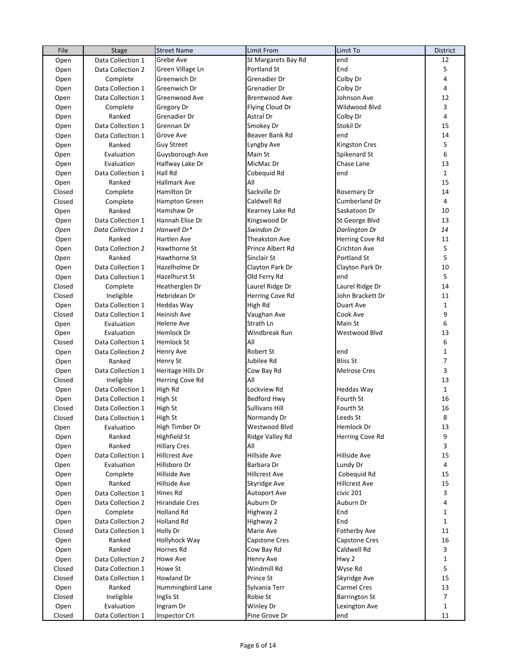| File   | Stage                    | <b>Street Name</b>    | Limit From           | Limit To             | District                |
|--------|--------------------------|-----------------------|----------------------|----------------------|-------------------------|
| Open   | Data Collection 1        | Grebe Ave             | St Margarets Bay Rd  | end                  | 12                      |
| Open   | Data Collection 2        | Green Village Ln      | Portland St          | End                  | 5                       |
| Open   | Complete                 | Greenwich Dr          | Grenadier Dr         | Colby Dr             | 4                       |
| Open   | Data Collection 1        | Greenwich Dr          | Grenadier Dr         | Colby Dr             | 4                       |
| Open   | Data Collection 1        | Greenwood Ave         | <b>Brentwood Ave</b> | Johnson Ave          | 12                      |
| Open   | Complete                 | Gregory Dr            | Flying Cloud Dr      | Wildwood Blvd        | 3                       |
| Open   | Ranked                   | Grenadier Dr          | Astral Dr            | Colby Dr             | $\overline{\mathbf{4}}$ |
| Open   | Data Collection 1        | Grennan Dr            | Smokey Dr            | Stokil Dr            | 15                      |
| Open   | Data Collection 1        | Grove Ave             | Beaver Bank Rd       | end                  | 14                      |
| Open   | Ranked                   | <b>Guy Street</b>     | Lyngby Ave           | Kingston Cres        | 5                       |
| Open   | Evaluation               | Guysborough Ave       | Main St              | Spikenard St         | 6                       |
| Open   | Evaluation               | Halfway Lake Dr       | MicMac Dr            | Chase Lane           | 13                      |
| Open   | Data Collection 1        | <b>Hall Rd</b>        | Cobequid Rd          | end                  | $\mathbf{1}$            |
| Open   | Ranked                   | <b>Hallmark Ave</b>   | All                  |                      | 15                      |
| Closed | Complete                 | <b>Hamilton Dr</b>    | Sackville Dr         | Rosemary Dr          | 14                      |
| Closed | Complete                 | <b>Hampton Green</b>  | Caldwell Rd          | Cumberland Dr        | 4                       |
| Open   | Ranked                   | Hamshaw Dr            | Kearney Lake Rd      | Saskatoon Dr         | 10                      |
| Open   | Data Collection 1        | Hannah Elise Dr       | Kingswood Dr         | St George Blvd       | 13                      |
|        | Data Collection 1        | Hanwell Dr*           | Swindon Dr           | Darlington Dr        | 14                      |
| Open   |                          |                       |                      |                      | 11                      |
| Open   | Ranked                   | <b>Hartlen Ave</b>    | Theakston Ave        | Herring Cove Rd      |                         |
| Open   | Data Collection 2        | Hawthorne St          | Prince Albert Rd     | Crichton Ave         | 5                       |
| Open   | Ranked                   | Hawthorne St          | Sinclair St          | Portland St          | 5                       |
| Open   | Data Collection 1        | Hazelholme Dr         | Clayton Park Dr      | Clayton Park Dr      | 10                      |
| Open   | Data Collection 1        | Hazelhurst St         | Old Ferry Rd         | end                  | 5                       |
| Closed | Complete                 | Heatherglen Dr        | Laurel Ridge Dr      | Laurel Ridge Dr      | 14                      |
| Closed | Ineligible               | Hebridean Dr          | Herring Cove Rd      | John Brackett Dr     | 11                      |
| Open   | Data Collection 1        | <b>Heddas Way</b>     | High Rd              | Duart Ave            | $\mathbf{1}$            |
| Closed | Data Collection 1        | <b>Heinish Ave</b>    | Vaughan Ave          | Cook Ave             | 9                       |
| Open   | Evaluation               | <b>Helene Ave</b>     | Strath Ln            | Main St              | 6                       |
| Open   | Evaluation               | Hemlock Dr            | Windbreak Run        | Westwood Blvd        | 13                      |
| Closed | Data Collection 1        | <b>Hemlock St</b>     | All                  |                      | 6                       |
| Open   | Data Collection 2        | <b>Henry Ave</b>      | Robert St            | end                  | $\mathbf 1$             |
| Open   | Ranked                   | <b>Henry St</b>       | Jubilee Rd           | <b>Bliss St</b>      | $\overline{7}$          |
| Open   | Data Collection 1        | Heritage Hills Dr     | Cow Bay Rd           | <b>Melrose Cres</b>  | 3                       |
| Closed | Ineligible               | Herring Cove Rd       | All                  |                      | 13                      |
| Open   | Data Collection 1        | High Rd               | Lockview Rd          | <b>Heddas Way</b>    | $\mathbf{1}$            |
| Open   | Data Collection 1        | <b>High St</b>        | <b>Bedford Hwy</b>   | Fourth St            | 16                      |
| Closed | Data Collection 1        | <b>High St</b>        | Sullivans Hill       | Fourth St            | 16                      |
| Closed | Data Collection 1        | <b>High St</b>        | Normandy Dr          | Leeds St             | 8                       |
| Open   | Evaluation               | High Timber Dr        | Westwood Blvd        | Hemlock Dr           | 13                      |
| Open   | Ranked                   | Highfield St          | Ridge Valley Rd      | Herring Cove Rd      | 9                       |
| Open   | Ranked                   | <b>Hillary Cres</b>   | All                  |                      | 3                       |
| Open   | Data Collection 1        | <b>Hillcrest Ave</b>  | Hillside Ave         | Hillside Ave         | 15                      |
| Open   | Evaluation               | Hillsboro Dr          | Barbara Dr           | Lundy Dr             | 4                       |
| Open   | Complete                 | <b>Hillside Ave</b>   | <b>Hillcrest Ave</b> | Cobequid Rd          | 15                      |
| Open   | Ranked                   | Hillside Ave          | Skyridge Ave         | Hillcrest Ave        | 15                      |
| Open   | Data Collection 1        | Hines Rd              | Autoport Ave         | civic 201            | 3                       |
| Open   | Data Collection 2        | <b>Hirandale Cres</b> | Auburn Dr            | Auburn Dr            | 4                       |
| Open   | Complete                 | <b>Holland Rd</b>     | Highway 2            | End                  | $\mathbf{1}$            |
| Open   | Data Collection 2        | <b>Holland Rd</b>     | Highway 2            | End                  | $\mathbf{1}$            |
| Closed | Data Collection 1        | Holly Dr              | Marie Ave            | Fotherby Ave         | 11                      |
| Open   | Ranked                   | Hollyhock Way         | Capstone Cres        | Capstone Cres        | 16                      |
| Open   | Ranked                   | Hornes Rd             | Cow Bay Rd           | Caldwell Rd          | 3                       |
| Open   | Data Collection 2        | Howe Ave              | Henry Ave            | Hwy 2                | 1                       |
| Closed | Data Collection 1        | Howe St               | Windmill Rd          | Wyse Rd              | 5                       |
| Closed | Data Collection 1        | <b>Howland Dr</b>     | Prince St            | Skyridge Ave         | 15                      |
| Open   | Ranked                   | Hummingbird Lane      | Sylvania Terr        | Carmel Cres          | 13                      |
|        |                          | Inglis St             | Robie St             |                      | $\overline{7}$          |
| Closed | Ineligible<br>Evaluation | Ingram Dr             | Winley Dr            | <b>Barrington St</b> | 1                       |
| Open   |                          |                       |                      | Lexington Ave        | 11                      |
| Closed | Data Collection 1        | <b>Inspector Crt</b>  | Pine Grove Dr        | end                  |                         |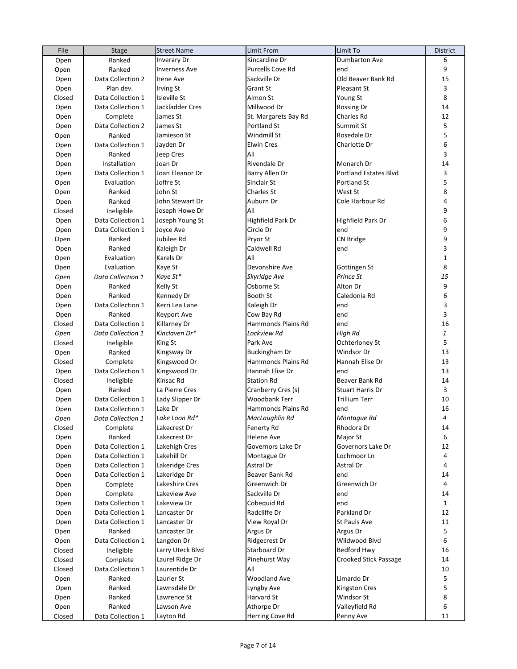| File   | <b>Stage</b>      | <b>Street Name</b>   | <b>Limit From</b>    | Limit To                     | <b>District</b>           |
|--------|-------------------|----------------------|----------------------|------------------------------|---------------------------|
| Open   | Ranked            | <b>Inverary Dr</b>   | Kincardine Dr        | Dumbarton Ave                | 6                         |
| Open   | Ranked            | <b>Inverness Ave</b> | Purcells Cove Rd     | end                          | 9                         |
| Open   | Data Collection 2 | Irene Ave            | Sackville Dr         | Old Beaver Bank Rd           | 15                        |
| Open   | Plan dev.         | <b>Irving St</b>     | Grant St             | Pleasant St                  | 3                         |
| Closed | Data Collection 1 | <b>Isleville St</b>  | Almon St             | Young St                     | 8                         |
| Open   | Data Collection 1 | Jackladder Cres      | Millwood Dr          | Rossing Dr                   | 14                        |
| Open   | Complete          | James St             | St. Margarets Bay Rd | Charles Rd                   | 12                        |
| Open   | Data Collection 2 | James St             | Portland St          | Summit St                    | 5                         |
| Open   | Ranked            | Jamieson St          | Windmill St          | Rosedale Dr                  | 5                         |
| Open   | Data Collection 1 | Jayden Dr            | <b>Elwin Cres</b>    | Charlotte Dr                 | 6                         |
| Open   | Ranked            | Jeep Cres            | All                  |                              | 3                         |
| Open   | Installation      | Joan Dr              | Rivendale Dr         | Monarch Dr                   | 14                        |
| Open   | Data Collection 1 | Joan Eleanor Dr      | Barry Allen Dr       | <b>Portland Estates Blvd</b> | 3                         |
|        |                   | Joffre St            | Sinclair St          | Portland St                  | 5                         |
| Open   | Evaluation        |                      |                      | West St                      | 8                         |
| Open   | Ranked            | John St              | Charles St           |                              |                           |
| Open   | Ranked            | John Stewart Dr      | Auburn Dr            | Cole Harbour Rd              | 4                         |
| Closed | Ineligible        | Joseph Howe Dr       | All                  |                              | 9                         |
| Open   | Data Collection 1 | Joseph Young St      | Highfield Park Dr    | Highfield Park Dr            | 6                         |
| Open   | Data Collection 1 | Joyce Ave            | Circle Dr            | end                          | 9                         |
| Open   | Ranked            | Jubilee Rd           | Pryor St             | CN Bridge                    | 9                         |
| Open   | Ranked            | Kaleigh Dr           | Caldwell Rd          | end                          | 3                         |
| Open   | Evaluation        | Karels Dr            | All                  |                              | 1                         |
| Open   | Evaluation        | Kaye St              | Devonshire Ave       | Gottingen St                 | 8                         |
| Open   | Data Collection 1 | Kaye St*             | Skyridge Ave         | Prince St                    | 15                        |
| Open   | Ranked            | Kelly St             | Osborne St           | Alton Dr                     | 9                         |
| Open   | Ranked            | Kennedy Dr           | Booth St             | Caledonia Rd                 | 6                         |
| Open   | Data Collection 1 | Kerri Lea Lane       | Kaleigh Dr           | end                          | 3                         |
| Open   | Ranked            | <b>Keyport Ave</b>   | Cow Bay Rd           | end                          | 3                         |
| Closed | Data Collection 1 | Killarney Dr         | Hammonds Plains Rd   | end                          | 16                        |
| Open   | Data Collection 1 | Kinclaven Dr*        | Lockview Rd          | High Rd                      | $\ensuremath{\mathbf{1}}$ |
| Closed | Ineligible        | King St              | Park Ave             | Ochterloney St               | 5                         |
| Open   | Ranked            | Kingsway Dr          | Buckingham Dr        | Windsor Dr                   | 13                        |
| Closed | Complete          | Kingswood Dr         | Hammonds Plains Rd   | Hannah Elise Dr              | 13                        |
| Open   | Data Collection 1 | Kingswood Dr         | Hannah Elise Dr      | end                          | 13                        |
| Closed | Ineligible        | Kinsac Rd            | <b>Station Rd</b>    | Beaver Bank Rd               | 14                        |
| Open   | Ranked            | La Pierre Cres       | Cranberry Cres (s)   | <b>Stuart Harris Dr</b>      | 3                         |
| Open   | Data Collection 1 | Lady Slipper Dr      | Woodbank Terr        | <b>Trillium Terr</b>         | 10                        |
| Open   | Data Collection 1 | Lake Dr              | Hammonds Plains Rd   | end                          | 16                        |
| Open   | Data Collection 1 | Lake Loon Rd*        | MacLaughlin Rd       | Montague Rd                  | 4                         |
| Closed | Complete          | Lakecrest Dr         | Fenerty Rd           | Rhodora Dr                   | 14                        |
| Open   | Ranked            | Lakecrest Dr         | Helene Ave           | Major St                     | 6                         |
| Open   | Data Collection 1 | Lakehigh Cres        | Governors Lake Dr    | Governors Lake Dr            | 12                        |
| Open   | Data Collection 1 | Lakehill Dr          | Montague Dr          | Lochmoor Ln                  | 4                         |
|        | Data Collection 1 | Lakeridge Cres       | Astral Dr            | Astral Dr                    | 4                         |
| Open   |                   | Lakeridge Dr         |                      | end                          | 14                        |
| Open   | Data Collection 1 |                      | Beaver Bank Rd       |                              |                           |
| Open   | Complete          | Lakeshire Cres       | Greenwich Dr         | Greenwich Dr                 | 4                         |
| Open   | Complete          | Lakeview Ave         | Sackville Dr         | end                          | 14                        |
| Open   | Data Collection 1 | Lakeview Dr          | Cobequid Rd          | end                          | $\mathbf{1}$              |
| Open   | Data Collection 1 | Lancaster Dr         | Radcliffe Dr         | Parkland Dr                  | 12                        |
| Open   | Data Collection 1 | Lancaster Dr         | View Royal Dr        | St Pauls Ave                 | 11                        |
| Open   | Ranked            | Lancaster Dr         | Argus Dr             | Argus Dr                     | 5                         |
| Open   | Data Collection 1 | Langdon Dr           | Ridgecrest Dr        | Wildwood Blvd                | 6                         |
| Closed | Ineligible        | Larry Uteck Blvd     | Starboard Dr         | Bedford Hwy                  | 16                        |
| Closed | Complete          | Laurel Ridge Dr      | Pinehurst Way        | Crooked Stick Passage        | 14                        |
| Closed | Data Collection 1 | Laurentide Dr        | All                  |                              | 10                        |
| Open   | Ranked            | Laurier St           | Woodland Ave         | Limardo Dr                   | 5                         |
| Open   | Ranked            | Lawnsdale Dr         | Lyngby Ave           | Kingston Cres                | 5                         |
| Open   | Ranked            | Lawrence St          | Harvard St           | Windsor St                   | 8                         |
| Open   | Ranked            | Lawson Ave           | Athorpe Dr           | Valleyfield Rd               | 6                         |
| Closed | Data Collection 1 | Layton Rd            | Herring Cove Rd      | Penny Ave                    | 11                        |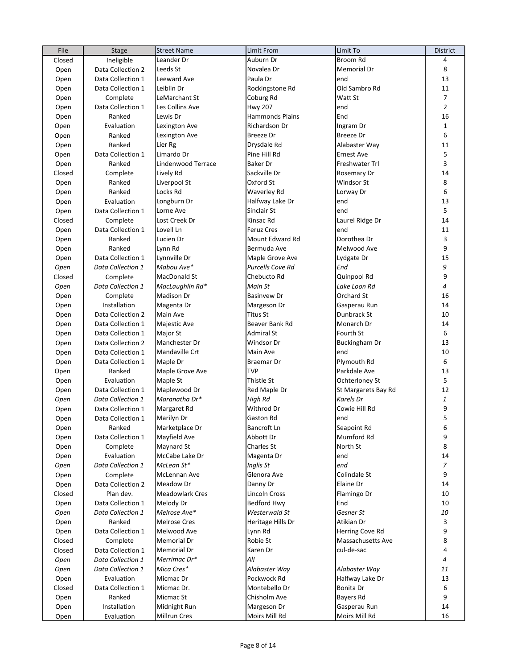| File   | Stage             | <b>Street Name</b>     | Limit From              | Limit To                  | <b>District</b> |
|--------|-------------------|------------------------|-------------------------|---------------------------|-----------------|
| Closed | Ineligible        | Leander Dr             | Auburn Dr               | Broom Rd                  | 4               |
| Open   | Data Collection 2 | Leeds St               | Novalea Dr              | Memorial Dr               | 8               |
| Open   | Data Collection 1 | Leeward Ave            | Paula Dr                | end                       | 13              |
| Open   | Data Collection 1 | Leiblin Dr             | Rockingstone Rd         | Old Sambro Rd             | 11              |
| Open   | Complete          | LeMarchant St          | Coburg Rd               | Watt St                   | $\overline{7}$  |
| Open   | Data Collection 1 | Les Collins Ave        | <b>Hwy 207</b>          | end                       | $\overline{2}$  |
| Open   | Ranked            | Lewis Dr               | <b>Hammonds Plains</b>  | End                       | 16              |
| Open   | Evaluation        | Lexington Ave          | Richardson Dr           | Ingram Dr                 | $\mathbf{1}$    |
| Open   | Ranked            | Lexington Ave          | <b>Breeze Dr</b>        | Breeze Dr                 | 6               |
| Open   | Ranked            | Lier Rg                | Drysdale Rd             | Alabaster Way             | 11              |
| Open   | Data Collection 1 | Limardo Dr             | Pine Hill Rd            | <b>Ernest Ave</b>         | 5               |
| Open   | Ranked            | Lindenwood Terrace     | Baker Dr                | Freshwater Trl            | 3               |
| Closed | Complete          | Lively Rd              | Sackville Dr            | Rosemary Dr               | 14              |
| Open   | Ranked            | Liverpool St           | Oxford St               | Windsor St                | 8               |
|        | Ranked            | Locks Rd               | Waverley Rd             | Lorway Dr                 | 6               |
| Open   |                   |                        |                         | end                       | 13              |
| Open   | Evaluation        | Longburn Dr            | Halfway Lake Dr         |                           |                 |
| Open   | Data Collection 1 | Lorne Ave              | Sinclair St             | end                       | 5               |
| Closed | Complete          | Lost Creek Dr          | Kinsac Rd               | Laurel Ridge Dr           | 14              |
| Open   | Data Collection 1 | Lovell Ln              | <b>Feruz Cres</b>       | end                       | 11              |
| Open   | Ranked            | Lucien Dr              | Mount Edward Rd         | Dorothea Dr               | 3               |
| Open   | Ranked            | Lynn Rd                | Bermuda Ave             | Melwood Ave               | 9               |
| Open   | Data Collection 1 | Lynnville Dr           | Maple Grove Ave         | Lydgate Dr                | 15              |
| Open   | Data Collection 1 | Mabou Ave*             | <b>Purcells Cove Rd</b> | End                       | 9               |
| Closed | Complete          | <b>MacDonald St</b>    | Chebucto Rd             | Quinpool Rd               | 9               |
| Open   | Data Collection 1 | MacLaughlin Rd*        | Main St                 | Lake Loon Rd              | 4               |
| Open   | Complete          | <b>Madison Dr</b>      | <b>Basinvew Dr</b>      | Orchard St                | 16              |
| Open   | Installation      | Magenta Dr             | Margeson Dr             | Gasperau Run              | 14              |
| Open   | Data Collection 2 | Main Ave               | <b>Titus St</b>         | Dunbrack St               | 10              |
| Open   | Data Collection 1 | Majestic Ave           | Beaver Bank Rd          | Monarch Dr                | 14              |
| Open   | Data Collection 1 | Major St               | <b>Admiral St</b>       | Fourth St                 | 6               |
| Open   | Data Collection 2 | Manchester Dr          | Windsor Dr              | <b>Buckingham Dr</b>      | 13              |
| Open   | Data Collection 1 | Mandaville Crt         | Main Ave                | end                       | 10              |
| Open   | Data Collection 1 | Maple Dr               | Braemar Dr              | Plymouth Rd               | 6               |
| Open   | Ranked            | Maple Grove Ave        | <b>TVP</b>              | Parkdale Ave              | 13              |
| Open   | Evaluation        | Maple St               | Thistle St              | Ochterloney St            | 5               |
| Open   | Data Collection 1 | Maplewood Dr           | Red Maple Dr            | St Margarets Bay Rd       | 12              |
| Open   | Data Collection 1 | Maranatha Dr*          | High Rd                 | Karels Dr                 | 1               |
| Open   | Data Collection 1 | Margaret Rd            | Withrod Dr              | Cowie Hill Rd             | 9               |
|        | Data Collection 1 | Marilyn Dr             | Gaston Rd               | end                       | 5               |
| Open   |                   |                        |                         |                           |                 |
| Open   | Ranked            | Marketplace Dr         | Bancroft Ln             | Seapoint Rd<br>Mumford Rd | 6               |
| Open   | Data Collection 1 | Mayfield Ave           | Abbott Dr               |                           | 9               |
| Open   | Complete          | Maynard St             | Charles St              | North St                  | 8               |
| Open   | Evaluation        | McCabe Lake Dr         | Magenta Dr              | end                       | 14              |
| Open   | Data Collection 1 | McLean St*             | Inglis St               | end                       | 7               |
| Open   | Complete          | <b>McLennan Ave</b>    | Glenora Ave             | Colindale St              | 9               |
| Open   | Data Collection 2 | Meadow Dr              | Danny Dr                | Elaine Dr                 | 14              |
| Closed | Plan dev.         | <b>Meadowlark Cres</b> | Lincoln Cross           | Flamingo Dr               | 10              |
| Open   | Data Collection 1 | Melody Dr              | <b>Bedford Hwy</b>      | End                       | 10              |
| Open   | Data Collection 1 | Melrose Ave*           | Westerwald St           | Gesner St                 | 10              |
| Open   | Ranked            | <b>Melrose Cres</b>    | Heritage Hills Dr       | Atikian Dr                | 3               |
| Open   | Data Collection 1 | Melwood Ave            | Lynn Rd                 | Herring Cove Rd           | 9               |
| Closed | Complete          | <b>Memorial Dr</b>     | Robie St                | Massachusetts Ave         | 8               |
| Closed | Data Collection 1 | Memorial Dr            | Karen Dr                | cul-de-sac                | 4               |
| Open   | Data Collection 1 | Merrimac Dr*           | All                     |                           | 4               |
| Open   | Data Collection 1 | Mica Cres*             | Alabaster Way           | Alabaster Way             | 11              |
| Open   | Evaluation        | Micmac Dr              | Pockwock Rd             | Halfway Lake Dr           | 13              |
| Closed | Data Collection 1 | Micmac Dr.             | Montebello Dr           | Bonita Dr                 | 6               |
| Open   | Ranked            | Micmac St              | Chisholm Ave            | <b>Bayers Rd</b>          | 9               |
| Open   | Installation      | Midnight Run           | Margeson Dr             | Gasperau Run              | 14              |
| Open   | Evaluation        | <b>Millrun Cres</b>    | Moirs Mill Rd           | Moirs Mill Rd             | 16              |
|        |                   |                        |                         |                           |                 |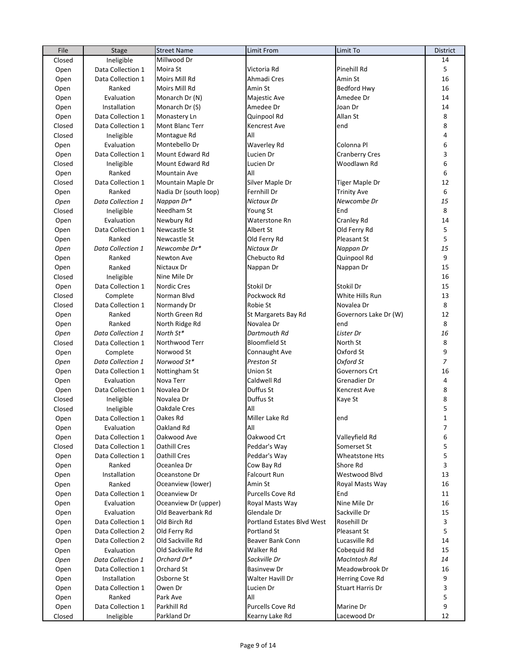| File   | Stage             | <b>Street Name</b>    | Limit From                 | Limit To                | District       |
|--------|-------------------|-----------------------|----------------------------|-------------------------|----------------|
| Closed | Ineligible        | Millwood Dr           |                            |                         | 14             |
| Open   | Data Collection 1 | Moira St              | Victoria Rd                | Pinehill Rd             | 5              |
| Open   | Data Collection 1 | Moirs Mill Rd         | Ahmadi Cres                | Amin St                 | 16             |
| Open   | Ranked            | Moirs Mill Rd         | Amin St                    | <b>Bedford Hwy</b>      | 16             |
| Open   | Evaluation        | Monarch Dr (N)        | Majestic Ave               | Amedee Dr               | 14             |
| Open   | Installation      | Monarch Dr (S)        | Amedee Dr                  | Joan Dr                 | 14             |
| Open   | Data Collection 1 | Monastery Ln          | Quinpool Rd                | Allan St                | 8              |
| Closed | Data Collection 1 | Mont Blanc Terr       | Kencrest Ave               | end                     | 8              |
| Closed | Ineligible        | Montague Rd           | All                        |                         | 4              |
| Open   | Evaluation        | Montebello Dr         | <b>Waverley Rd</b>         | Colonna Pl              | 6              |
| Open   | Data Collection 1 | Mount Edward Rd       | Lucien Dr                  | <b>Cranberry Cres</b>   | 3              |
| Closed | Ineligible        | Mount Edward Rd       | Lucien Dr                  | Woodlawn Rd             | 6              |
| Open   | Ranked            | Mountain Ave          | All                        |                         | 6              |
| Closed | Data Collection 1 | Mountain Maple Dr     | Silver Maple Dr            | <b>Tiger Maple Dr</b>   | 12             |
| Open   | Ranked            | Nadia Dr (south loop) | Fernhill Dr                | <b>Trinity Ave</b>      | 6              |
| Open   | Data Collection 1 | Nappan Dr*            | Nictaux Dr                 | Newcombe Dr             | 15             |
| Closed | Ineligible        | Needham St            | Young St                   | End                     | 8              |
| Open   | Evaluation        | Newbury Rd            | Waterstone Rn              | Cranley Rd              | 14             |
| Open   | Data Collection 1 | Newcastle St          | Albert St                  | Old Ferry Rd            | 5              |
| Open   | Ranked            | Newcastle St          | Old Ferry Rd               | Pleasant St             | 5              |
|        | Data Collection 1 | Newcombe Dr*          | Nictaux Dr                 | Nappan Dr               | 15             |
| Open   | Ranked            | Newton Ave            | Chebucto Rd                |                         | 9              |
| Open   | Ranked            | Nictaux Dr            |                            | Quinpool Rd             | 15             |
| Open   |                   | Nine Mile Dr          | Nappan Dr                  | Nappan Dr               | 16             |
| Closed | Ineligible        |                       |                            |                         | 15             |
| Open   | Data Collection 1 | Nordic Cres           | Stokil Dr                  | Stokil Dr               |                |
| Closed | Complete          | Norman Blvd           | Pockwock Rd                | White Hills Run         | 13             |
| Closed | Data Collection 1 | Normandy Dr           | Robie St                   | Novalea Dr              | 8              |
| Open   | Ranked            | North Green Rd        | St Margarets Bay Rd        | Governors Lake Dr (W)   | 12             |
| Open   | Ranked            | North Ridge Rd        | Novalea Dr                 | end                     | 8              |
| Open   | Data Collection 1 | North St*             | Dartmouth Rd               | Lister Dr               | 16             |
| Closed | Data Collection 1 | Northwood Terr        | <b>Bloomfield St</b>       | North St                | 8              |
| Open   | Complete          | Norwood St            | Connaught Ave              | Oxford St               | 9              |
| Open   | Data Collection 1 | Norwood St*           | Preston St                 | Oxford St               | $\overline{7}$ |
| Open   | Data Collection 1 | Nottingham St         | Union St                   | Governors Crt           | 16             |
| Open   | Evaluation        | Nova Terr             | Caldwell Rd                | Grenadier Dr            | 4              |
| Open   | Data Collection 1 | Novalea Dr            | Duffus St                  | <b>Kencrest Ave</b>     | 8              |
| Closed | Ineligible        | Novalea Dr            | Duffus St                  | Kaye St                 | 8              |
| Closed | Ineligible        | Oakdale Cres          | All                        |                         | 5              |
| Open   | Data Collection 1 | Oakes Rd              | Miller Lake Rd             | end                     | $\mathbf 1$    |
| Open   | Evaluation        | Oakland Rd            | All                        |                         | 7              |
| Open   | Data Collection 1 | Oakwood Ave           | Oakwood Crt                | Valleyfield Rd          | 6              |
| Closed | Data Collection 1 | <b>Oathill Cres</b>   | Peddar's Way               | Somerset St             | 5              |
| Open   | Data Collection 1 | Oathill Cres          | Peddar's Way               | Wheatstone Hts          | 5              |
| Open   | Ranked            | Oceanlea Dr           | Cow Bay Rd                 | Shore Rd                | 3              |
| Open   | Installation      | Oceanstone Dr         | <b>Falcourt Run</b>        | Westwood Blvd           | 13             |
| Open   | Ranked            | Oceanview (lower)     | Amin St                    | <b>Royal Masts Way</b>  | 16             |
| Open   | Data Collection 1 | Oceanview Dr          | Purcells Cove Rd           | End                     | 11             |
| Open   | Evaluation        | Oceanview Dr (upper)  | Royal Masts Way            | Nine Mile Dr            | 16             |
| Open   | Evaluation        | Old Beaverbank Rd     | Glendale Dr                | Sackville Dr            | 15             |
| Open   | Data Collection 1 | Old Birch Rd          | Portland Estates Blvd West | Rosehill Dr             | 3              |
| Open   | Data Collection 2 | Old Ferry Rd          | Portland St                | Pleasant St             | 5              |
| Open   | Data Collection 2 | Old Sackville Rd      | Beaver Bank Conn           | Lucasville Rd           | 14             |
| Open   | Evaluation        | Old Sackville Rd      | Walker Rd                  | Cobequid Rd             | 15             |
| Open   | Data Collection 1 | Orchard Dr*           | Sackville Dr               | MacIntosh Rd            | 14             |
| Open   | Data Collection 1 | Orchard St            | <b>Basinvew Dr</b>         | Meadowbrook Dr          | 16             |
| Open   | Installation      | Osborne St            | Walter Havill Dr           | <b>Herring Cove Rd</b>  | 9              |
| Open   | Data Collection 1 | Owen Dr               | Lucien Dr                  | <b>Stuart Harris Dr</b> | 3              |
| Open   | Ranked            | Park Ave              | All                        |                         | 5              |
| Open   | Data Collection 1 | Parkhill Rd           | Purcells Cove Rd           | Marine Dr               | 9              |
| Closed | Ineligible        | Parkland Dr           | Kearny Lake Rd             | Lacewood Dr             | 12             |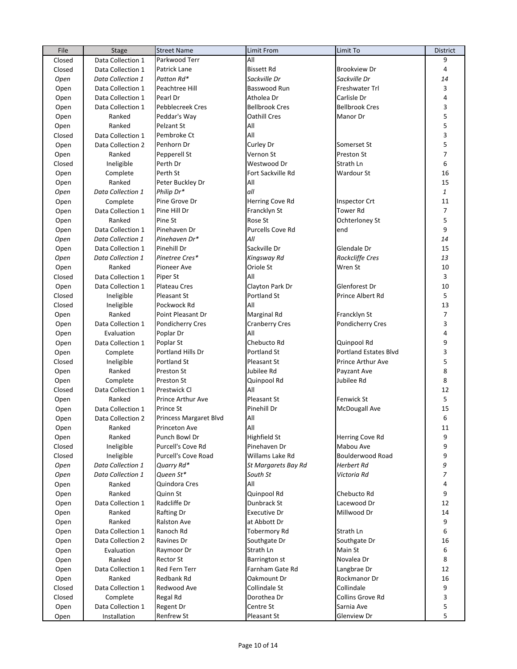| File   | Stage             | <b>Street Name</b>       | Limit From                      | Limit To                         | <b>District</b> |
|--------|-------------------|--------------------------|---------------------------------|----------------------------------|-----------------|
| Closed | Data Collection 1 | Parkwood Terr            | All                             |                                  | 9               |
| Closed | Data Collection 1 | Patrick Lane             | <b>Bissett Rd</b>               | <b>Brookview Dr</b>              | $\overline{4}$  |
| Open   | Data Collection 1 | Patton Rd*               | Sackville Dr                    | Sackville Dr                     | 14              |
| Open   | Data Collection 1 | Peachtree Hill           | Basswood Run                    | Freshwater Trl                   | 3               |
| Open   | Data Collection 1 | Pearl Dr                 | Atholea Dr                      | Carlisle Dr                      | 4               |
| Open   | Data Collection 1 | Pebblecreek Cres         | <b>Bellbrook Cres</b>           | <b>Bellbrook Cres</b>            | 3               |
| Open   | Ranked            | Peddar's Way             | Oathill Cres                    | Manor Dr                         | 5               |
| Open   | Ranked            | Pelzant St               | All                             |                                  | 5               |
| Closed | Data Collection 1 | Pembroke Ct              | All                             |                                  | 3               |
| Open   | Data Collection 2 | Penhorn Dr               | Curley Dr                       | Somerset St                      | 5               |
| Open   | Ranked            | Pepperell St             | Vernon St                       | Preston St                       | $\overline{7}$  |
| Closed | Ineligible        | Perth Dr                 | Westwood Dr                     | Strath Ln                        | 6               |
| Open   | Complete          | Perth St                 | Fort Sackville Rd               | Wardour St                       | 16              |
| Open   | Ranked            | Peter Buckley Dr         | All                             |                                  | 15              |
|        | Data Collection 1 | Philip Dr*               | all                             |                                  | $\mathbf{1}$    |
| Open   |                   | Pine Grove Dr            |                                 |                                  | 11              |
| Open   | Complete          |                          | Herring Cove Rd                 | Inspector Crt<br><b>Tower Rd</b> |                 |
| Open   | Data Collection 1 | Pine Hill Dr             | Francklyn St                    |                                  | 7               |
| Open   | Ranked            | Pine St                  | Rose St                         | Ochterloney St                   | 5               |
| Open   | Data Collection 1 | Pinehaven Dr             | <b>Purcells Cove Rd</b>         | end                              | 9               |
| Open   | Data Collection 1 | Pinehaven Dr*            | All                             |                                  | 14              |
| Open   | Data Collection 1 | Pinehill Dr              | Sackville Dr                    | Glendale Dr                      | 15              |
| Open   | Data Collection 1 | Pinetree Cres*           | Kingsway Rd                     | Rockcliffe Cres                  | 13              |
| Open   | Ranked            | Pioneer Ave              | Oriole St                       | Wren St                          | 10              |
| Closed | Data Collection 1 | Piper St                 | All                             |                                  | 3               |
| Open   | Data Collection 1 | <b>Plateau Cres</b>      | Clayton Park Dr                 | Glenforest Dr                    | 10              |
| Closed | Ineligible        | Pleasant St              | Portland St                     | Prince Albert Rd                 | 5               |
| Closed | Ineligible        | Pockwock Rd              | All                             |                                  | 13              |
| Open   | Ranked            | Point Pleasant Dr        | Marginal Rd                     | Francklyn St                     | $\overline{7}$  |
| Open   | Data Collection 1 | <b>Pondicherry Cres</b>  | <b>Cranberry Cres</b>           | Pondicherry Cres                 | 3               |
| Open   | Evaluation        | Poplar Dr                | All                             |                                  | 4               |
| Open   | Data Collection 1 | Poplar St                | Chebucto Rd                     | Quinpool Rd                      | 9               |
| Open   | Complete          | Portland Hills Dr        | Portland St                     | <b>Portland Estates Blvd</b>     | 3               |
| Closed | Ineligible        | Portland St              | Pleasant St                     | Prince Arthur Ave                | 5               |
| Open   | Ranked            | <b>Preston St</b>        | Jubilee Rd                      | Payzant Ave                      | 8               |
| Open   | Complete          | <b>Preston St</b>        | Quinpool Rd                     | Jubilee Rd                       | 8               |
| Closed | Data Collection 1 | <b>Prestwick Cl</b>      | All                             |                                  | 12              |
| Open   | Ranked            | <b>Prince Arthur Ave</b> | Pleasant St                     | Fenwick St                       | 5               |
| Open   | Data Collection 1 | <b>Prince St</b>         | Pinehill Dr                     | McDougall Ave                    | 15              |
| Open   | Data Collection 2 | Princess Margaret Blvd   | All                             |                                  | 6               |
| Open   | Ranked            | Princeton Ave            | All                             |                                  | 11              |
| Open   | Ranked            | Punch Bowl Dr            | <b>Highfield St</b>             | Herring Cove Rd                  | 9               |
| Closed | Ineligible        | Purcell's Cove Rd        | Pinehaven Dr                    | Mabou Ave                        | 9               |
|        | Ineligible        | Purcell's Cove Road      | Willams Lake Rd                 | Boulderwood Road                 | 9               |
| Closed |                   | Quarry Rd*               |                                 | Herbert Rd                       | 9               |
| Open   | Data Collection 1 |                          | St Margarets Bay Rd<br>South St |                                  | 7               |
| Open   | Data Collection 1 | Queen St*                |                                 | Victoria Rd                      |                 |
| Open   | Ranked            | Quindora Cres            | All                             |                                  | 4               |
| Open   | Ranked            | Quinn St                 | Quinpool Rd                     | Chebucto Rd                      | 9               |
| Open   | Data Collection 1 | Radcliffe Dr             | Dunbrack St                     | Lacewood Dr                      | 12              |
| Open   | Ranked            | Rafting Dr               | <b>Executive Dr</b>             | Millwood Dr                      | 14              |
| Open   | Ranked            | <b>Ralston Ave</b>       | at Abbott Dr                    |                                  | 9               |
| Open   | Data Collection 1 | Ranoch Rd                | <b>Tobermory Rd</b>             | Strath Ln                        | 6               |
| Open   | Data Collection 2 | Ravines Dr               | Southgate Dr                    | Southgate Dr                     | 16              |
| Open   | Evaluation        | Raymoor Dr               | Strath Ln                       | Main St                          | 6               |
| Open   | Ranked            | <b>Rector St</b>         | Barrington st                   | Novalea Dr                       | 8               |
| Open   | Data Collection 1 | Red Fern Terr            | Farnham Gate Rd                 | Langbrae Dr                      | 12              |
| Open   | Ranked            | Redbank Rd               | Oakmount Dr                     | Rockmanor Dr                     | 16              |
| Closed | Data Collection 1 | Redwood Ave              | Collindale St                   | Collindale                       | 9               |
| Closed | Complete          | Regal Rd                 | Dorothea Dr                     | Collins Grove Rd                 | 3               |
| Open   | Data Collection 1 | Regent Dr                | Centre St                       | Sarnia Ave                       | 5               |
| Open   | Installation      | <b>Renfrew St</b>        | Pleasant St                     | Glenview Dr                      | 5               |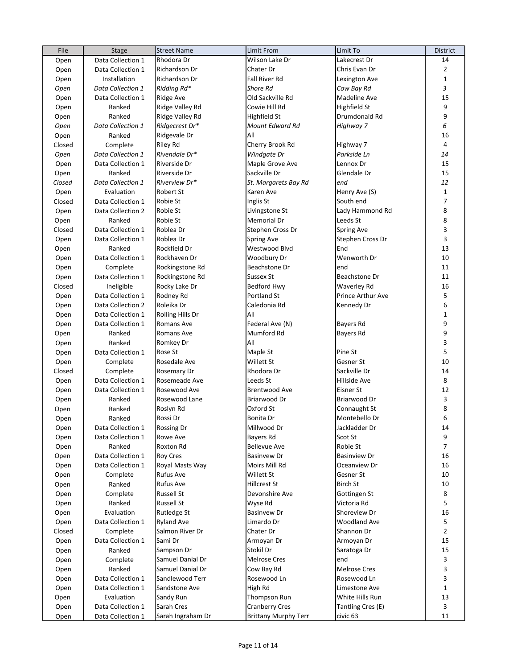| File   | Stage             | <b>Street Name</b> | <b>Limit From</b>           | Limit To            | <b>District</b> |
|--------|-------------------|--------------------|-----------------------------|---------------------|-----------------|
| Open   | Data Collection 1 | Rhodora Dr         | Wilson Lake Dr              | Lakecrest Dr        | 14              |
| Open   | Data Collection 1 | Richardson Dr      | Chater Dr                   | Chris Evan Dr       | $\overline{2}$  |
| Open   | Installation      | Richardson Dr      | Fall River Rd               | Lexington Ave       | $\mathbf{1}$    |
| Open   | Data Collection 1 | Ridding Rd*        | <b>Shore Rd</b>             | Cow Bay Rd          | 3               |
| Open   | Data Collection 1 | <b>Ridge Ave</b>   | Old Sackville Rd            | Madeline Ave        | 15              |
| Open   | Ranked            | Ridge Valley Rd    | Cowie Hill Rd               | <b>Highfield St</b> | 9               |
| Open   | Ranked            | Ridge Valley Rd    | Highfield St                | Drumdonald Rd       | 9               |
| Open   | Data Collection 1 | Ridgecrest Dr*     | Mount Edward Rd             | Highway 7           | 6               |
| Open   | Ranked            | Ridgevale Dr       | All                         |                     | 16              |
| Closed | Complete          | Riley Rd           | Cherry Brook Rd             | Highway 7           | 4               |
| Open   | Data Collection 1 | Rivendale Dr*      | Windgate Dr                 | Parkside Ln         | 14              |
| Open   | Data Collection 1 | Riverside Dr       | Maple Grove Ave             | Lennox Dr           | 15              |
| Open   | Ranked            | Riverside Dr       | Sackville Dr                | Glendale Dr         | 15              |
| Closed | Data Collection 1 | Riverview Dr*      | St. Margarets Bay Rd        | end                 | 12              |
| Open   | Evaluation        | Robert St          | Karen Ave                   | Henry Ave (S)       | $\mathbf{1}$    |
| Closed | Data Collection 1 | Robie St           | Inglis St                   | South end           | $\overline{7}$  |
| Open   | Data Collection 2 | Robie St           | Livingstone St              | Lady Hammond Rd     | 8               |
| Open   | Ranked            | Robie St           | Memorial Dr                 | Leeds St            | 8               |
| Closed | Data Collection 1 | Roblea Dr          | Stephen Cross Dr            | Spring Ave          | 3               |
| Open   | Data Collection 1 | Roblea Dr          | Spring Ave                  | Stephen Cross Dr    | 3               |
| Open   | Ranked            | Rockfield Dr       | Westwood Blvd               | End                 | 13              |
| Open   | Data Collection 1 | Rockhaven Dr       | Woodbury Dr                 | Wenworth Dr         | 10              |
|        |                   | Rockingstone Rd    | Beachstone Dr               | end                 | 11              |
| Open   | Complete          | Rockingstone Rd    | Sussex St                   | Beachstone Dr       | 11              |
| Open   | Data Collection 1 |                    |                             | <b>Waverley Rd</b>  | 16              |
| Closed | Ineligible        | Rocky Lake Dr      | Bedford Hwy                 |                     |                 |
| Open   | Data Collection 1 | Rodney Rd          | Portland St                 | Prince Arthur Ave   | 5               |
| Open   | Data Collection 2 | Roleika Dr         | Caledonia Rd                | Kennedy Dr          | 6               |
| Open   | Data Collection 1 | Rolling Hills Dr   | All                         |                     | $\mathbf 1$     |
| Open   | Data Collection 1 | Romans Ave         | Federal Ave (N)             | <b>Bayers Rd</b>    | 9               |
| Open   | Ranked            | Romans Ave         | Mumford Rd                  | <b>Bayers Rd</b>    | 9               |
| Open   | Ranked            | Romkey Dr          | All                         |                     | 3               |
| Open   | Data Collection 1 | Rose St            | Maple St                    | Pine St             | 5               |
| Open   | Complete          | Rosedale Ave       | Willett St                  | Gesner St           | 10              |
| Closed | Complete          | Rosemary Dr        | Rhodora Dr                  | Sackville Dr        | 14              |
| Open   | Data Collection 1 | Rosemeade Ave      | Leeds St                    | Hillside Ave        | 8               |
| Open   | Data Collection 1 | Rosewood Ave       | Brentwood Ave               | Eisner St           | 12              |
| Open   | Ranked            | Rosewood Lane      | Briarwood Dr                | Briarwood Dr        | 3               |
| Open   | Ranked            | Roslyn Rd          | Oxford St                   | Connaught St        | 8               |
| Open   | Ranked            | Rossi Dr           | Bonita Dr                   | Montebello Dr       | 6               |
| Open   | Data Collection 1 | Rossing Dr         | Millwood Dr                 | Jackladder Dr       | 14              |
| Open   | Data Collection 1 | Rowe Ave           | Bayers Rd                   | Scot St             | 9               |
| Open   | Ranked            | Roxton Rd          | <b>Bellevue Ave</b>         | Robie St            | $\overline{7}$  |
| Open   | Data Collection 1 | <b>Roy Cres</b>    | <b>Basinvew Dr</b>          | <b>Basinview Dr</b> | 16              |
| Open   | Data Collection 1 | Royal Masts Way    | Moirs Mill Rd               | Oceanview Dr        | 16              |
| Open   | Complete          | Rufus Ave          | Willett St                  | Gesner St           | 10              |
| Open   | Ranked            | Rufus Ave          | Hillcrest St                | <b>Birch St</b>     | 10              |
| Open   | Complete          | Russell St         | Devonshire Ave              | Gottingen St        | 8               |
| Open   | Ranked            | Russell St         | Wyse Rd                     | Victoria Rd         | 5               |
| Open   | Evaluation        | Rutledge St        | <b>Basinvew Dr</b>          | Shoreview Dr        | 16              |
| Open   | Data Collection 1 | <b>Ryland Ave</b>  | Limardo Dr                  | Woodland Ave        | 5               |
| Closed | Complete          | Salmon River Dr    | Chater Dr                   | Shannon Dr          | $\overline{2}$  |
| Open   | Data Collection 1 | Sami Dr            | Armoyan Dr                  | Armoyan Dr          | 15              |
| Open   | Ranked            | Sampson Dr         | Stokil Dr                   | Saratoga Dr         | 15              |
| Open   | Complete          | Samuel Danial Dr   | <b>Melrose Cres</b>         | end                 | 3               |
| Open   | Ranked            | Samuel Danial Dr   | Cow Bay Rd                  | <b>Melrose Cres</b> | 3               |
| Open   | Data Collection 1 | Sandlewood Terr    | Rosewood Ln                 | Rosewood Ln         | 3               |
| Open   | Data Collection 1 | Sandstone Ave      | High Rd                     | Limestone Ave       | $\mathbf{1}$    |
| Open   | Evaluation        | Sandy Run          | Thompson Run                | White Hills Run     | 13              |
| Open   | Data Collection 1 | Sarah Cres         | <b>Cranberry Cres</b>       | Tantling Cres (E)   | 3               |
| Open   | Data Collection 1 | Sarah Ingraham Dr  | <b>Brittany Murphy Terr</b> | civic 63            | 11              |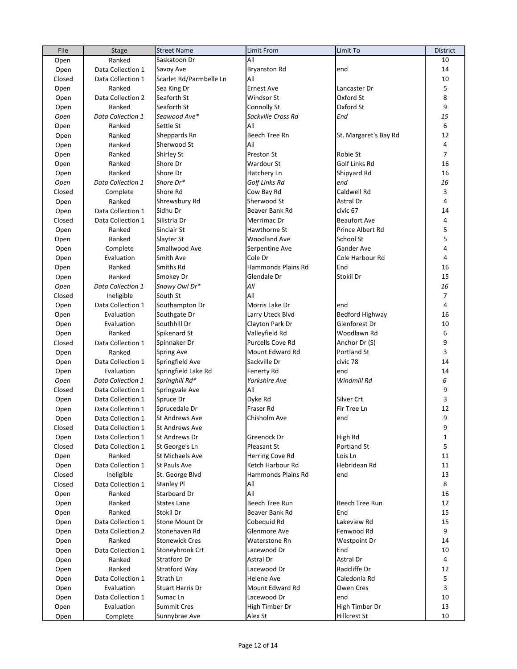| File   | Stage             | <b>Street Name</b>      | <b>Limit From</b>   | Limit To               | <b>District</b> |
|--------|-------------------|-------------------------|---------------------|------------------------|-----------------|
| Open   | Ranked            | Saskatoon Dr            | All                 |                        | 10              |
| Open   | Data Collection 1 | Savoy Ave               | <b>Bryanston Rd</b> | end                    | 14              |
| Closed | Data Collection 1 | Scarlet Rd/Parmbelle Ln | All                 |                        | 10              |
| Open   | Ranked            | Sea King Dr             | <b>Ernest Ave</b>   | Lancaster Dr           | 5               |
| Open   | Data Collection 2 | Seaforth St             | Windsor St          | Oxford St              | $\bf 8$         |
| Open   | Ranked            | Seaforth St             | Connolly St         | Oxford St              | 9               |
| Open   | Data Collection 1 | Seawood Ave*            | Sackville Cross Rd  | End                    | 15              |
| Open   | Ranked            | Settle St               | All                 |                        | 6               |
| Open   | Ranked            | Sheppards Rn            | Beech Tree Rn       | St. Margaret's Bay Rd  | 12              |
| Open   | Ranked            | Sherwood St             | All                 |                        | 4               |
| Open   | Ranked            | Shirley St              | Preston St          | Robie St               | $\overline{7}$  |
| Open   | Ranked            | Shore Dr                | Wardour St          | Golf Links Rd          | 16              |
| Open   | Ranked            | Shore Dr                | Hatchery Ln         | Shipyard Rd            | 16              |
|        | Data Collection 1 | Shore Dr*               | Golf Links Rd       | end                    | 16              |
| Open   |                   | Shore Rd                | Cow Bay Rd          | Caldwell Rd            | 3               |
| Closed | Complete          |                         |                     |                        |                 |
| Open   | Ranked            | Shrewsbury Rd           | Sherwood St         | Astral Dr              | 4               |
| Open   | Data Collection 1 | Sidhu Dr                | Beaver Bank Rd      | civic <sub>67</sub>    | 14              |
| Closed | Data Collection 1 | Silistria Dr            | Merrimac Dr         | <b>Beaufort Ave</b>    | 4               |
| Open   | Ranked            | Sinclair St             | Hawthorne St        | Prince Albert Rd       | 5               |
| Open   | Ranked            | Slayter St              | Woodland Ave        | School St              | 5               |
| Open   | Complete          | Smallwood Ave           | Serpentine Ave      | Gander Ave             | 4               |
| Open   | Evaluation        | Smith Ave               | Cole Dr             | Cole Harbour Rd        | 4               |
| Open   | Ranked            | Smiths Rd               | Hammonds Plains Rd  | End                    | 16              |
| Open   | Ranked            | Smokey Dr               | Glendale Dr         | Stokil Dr              | 15              |
| Open   | Data Collection 1 | Snowy Owl Dr*           | All                 |                        | 16              |
| Closed | Ineligible        | South St                | All                 |                        | $\overline{7}$  |
| Open   | Data Collection 1 | Southampton Dr          | Morris Lake Dr      | end                    | 4               |
| Open   | Evaluation        | Southgate Dr            | Larry Uteck Blvd    | <b>Bedford Highway</b> | 16              |
| Open   | Evaluation        | Southhill Dr            | Clayton Park Dr     | Glenforest Dr          | 10              |
| Open   | Ranked            | Spikenard St            | Valleyfield Rd      | Woodlawn Rd            | 6               |
| Closed | Data Collection 1 | Spinnaker Dr            | Purcells Cove Rd    | Anchor Dr (S)          | 9               |
| Open   | Ranked            | <b>Spring Ave</b>       | Mount Edward Rd     | Portland St            | 3               |
| Open   | Data Collection 1 | Springfield Ave         | Sackville Dr        | civic 78               | 14              |
| Open   | Evaluation        | Springfield Lake Rd     | Fenerty Rd          | end                    | 14              |
| Open   | Data Collection 1 | Springhill Rd*          | Yorkshire Ave       | Windmill Rd            | 6               |
| Closed | Data Collection 1 | Springvale Ave          | All                 |                        | 9               |
| Open   | Data Collection 1 | Spruce Dr               | Dyke Rd             | Silver Crt             | 3               |
| Open   | Data Collection 1 | Sprucedale Dr           | Fraser Rd           | Fir Tree Ln            | 12              |
| Open   | Data Collection 1 | St Andrews Ave          | Chisholm Ave        | end                    | 9               |
| Closed | Data Collection 1 | St Andrews Ave          |                     |                        | 9               |
| Open   | Data Collection 1 | St Andrews Dr           | Greenock Dr         | High Rd                | $\mathbf{1}$    |
| Closed | Data Collection 1 | St George's Ln          | Pleasant St         | Portland St            | 5               |
| Open   | Ranked            | St Michaels Ave         | Herring Cove Rd     | Lois Ln                | 11              |
|        | Data Collection 1 | St Pauls Ave            | Ketch Harbour Rd    | Hebridean Rd           | 11              |
| Open   |                   |                         | Hammonds Plains Rd  | end                    | 13              |
| Closed | Ineligible        | St. George Blvd         |                     |                        |                 |
| Closed | Data Collection 1 | <b>Stanley Pl</b>       | All                 |                        | 8               |
| Open   | Ranked            | Starboard Dr            | All                 |                        | 16              |
| Open   | Ranked            | <b>States Lane</b>      | Beech Tree Run      | Beech Tree Run         | 12              |
| Open   | Ranked            | Stokil Dr               | Beaver Bank Rd      | End                    | 15              |
| Open   | Data Collection 1 | Stone Mount Dr          | Cobequid Rd         | Lakeview Rd            | 15              |
| Open   | Data Collection 2 | Stonehaven Rd           | Glenmore Ave        | Fenwood Rd             | 9               |
| Open   | Ranked            | <b>Stonewick Cres</b>   | Waterstone Rn       | Westpoint Dr           | 14              |
| Open   | Data Collection 1 | Stoneybrook Crt         | Lacewood Dr         | End                    | 10              |
| Open   | Ranked            | Stratford Dr            | Astral Dr           | Astral Dr              | 4               |
| Open   | Ranked            | Stratford Way           | Lacewood Dr         | Radcliffe Dr           | 12              |
| Open   | Data Collection 1 | Strath Ln               | Helene Ave          | Caledonia Rd           | 5               |
| Open   | Evaluation        | <b>Stuart Harris Dr</b> | Mount Edward Rd     | Owen Cres              | 3               |
| Open   | Data Collection 1 | Sumac Ln                | Lacewood Dr         | end                    | 10              |
| Open   | Evaluation        | <b>Summit Cres</b>      | High Timber Dr      | High Timber Dr         | 13              |
| Open   | Complete          | Sunnybrae Ave           | Alex St             | Hillcrest St           | 10              |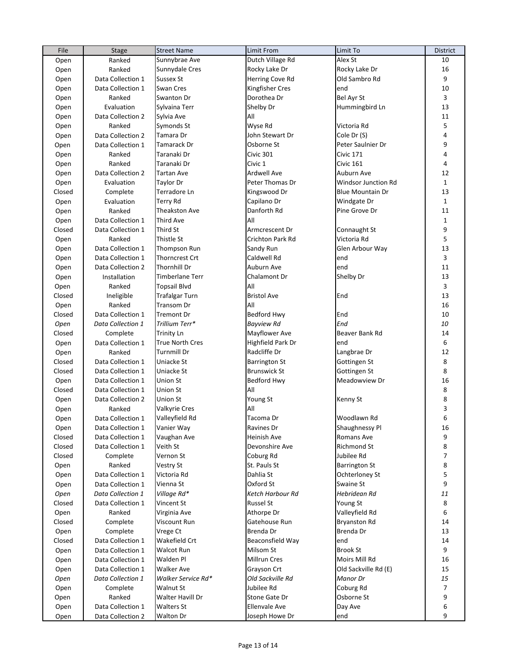| File   | Stage             | <b>Street Name</b>     | Limit From           | Limit To                | <b>District</b> |
|--------|-------------------|------------------------|----------------------|-------------------------|-----------------|
| Open   | Ranked            | Sunnybrae Ave          | Dutch Village Rd     | Alex St                 | 10              |
| Open   | Ranked            | Sunnydale Cres         | Rocky Lake Dr        | Rocky Lake Dr           | 16              |
| Open   | Data Collection 1 | <b>Sussex St</b>       | Herring Cove Rd      | Old Sambro Rd           | 9               |
| Open   | Data Collection 1 | Swan Cres              | Kingfisher Cres      | end                     | 10              |
| Open   | Ranked            | Swanton Dr             | Dorothea Dr          | Bel Ayr St              | 3               |
| Open   | Evaluation        | Sylvaina Terr          | Shelby Dr            | Hummingbird Ln          | 13              |
| Open   | Data Collection 2 | Sylvia Ave             | All                  |                         | 11              |
| Open   | Ranked            | Symonds St             | Wyse Rd              | Victoria Rd             | 5               |
| Open   | Data Collection 2 | Tamara Dr              | John Stewart Dr      | Cole Dr (S)             | 4               |
| Open   | Data Collection 1 | Tamarack Dr            | Osborne St           | Peter Saulnier Dr       | 9               |
| Open   | Ranked            | Taranaki Dr            | Civic 301            | Civic 171               | 4               |
| Open   | Ranked            | Taranaki Dr            | Civic 1              | Civic 161               | 4               |
| Open   | Data Collection 2 | Tartan Ave             | Ardwell Ave          | Auburn Ave              | 12              |
| Open   | Evaluation        | Taylor Dr              | Peter Thomas Dr      | Windsor Junction Rd     | $\mathbf 1$     |
| Closed | Complete          | Terradore Ln           | Kingswood Dr         | <b>Blue Mountain Dr</b> | 13              |
| Open   | Evaluation        | Terry Rd               | Capilano Dr          | Windgate Dr             | $\mathbf{1}$    |
| Open   | Ranked            | <b>Theakston Ave</b>   | Danforth Rd          | Pine Grove Dr           | 11              |
|        | Data Collection 1 | <b>Third Ave</b>       | All                  |                         | $\mathbf{1}$    |
| Open   |                   | Third St               | Armcrescent Dr       |                         | 9               |
| Closed | Data Collection 1 |                        |                      | Connaught St            | 5               |
| Open   | Ranked            | Thistle St             | Crichton Park Rd     | Victoria Rd             |                 |
| Open   | Data Collection 1 | <b>Thompson Run</b>    | Sandy Run            | Glen Arbour Way         | 13              |
| Open   | Data Collection 1 | <b>Thorncrest Crt</b>  | Caldwell Rd          | end                     | 3               |
| Open   | Data Collection 2 | <b>Thornhill Dr</b>    | Auburn Ave           | end                     | 11              |
| Open   | Installation      | <b>Timberlane Terr</b> | Chalamont Dr         | Shelby Dr               | 13              |
| Open   | Ranked            | <b>Topsail Blvd</b>    | All                  |                         | 3               |
| Closed | Ineligible        | Trafalgar Turn         | <b>Bristol Ave</b>   | End                     | 13              |
| Open   | Ranked            | Transom Dr             | All                  |                         | 16              |
| Closed | Data Collection 1 | <b>Tremont Dr</b>      | <b>Bedford Hwy</b>   | End                     | $10\,$          |
| Open   | Data Collection 1 | Trillium Terr*         | <b>Bayview Rd</b>    | End                     | 10              |
| Closed | Complete          | <b>Trinity Ln</b>      | Mayflower Ave        | Beaver Bank Rd          | 14              |
| Open   | Data Collection 1 | <b>True North Cres</b> | Highfield Park Dr    | end                     | 6               |
| Open   | Ranked            | <b>Turnmill Dr</b>     | Radcliffe Dr         | Langbrae Dr             | 12              |
| Closed | Data Collection 1 | Uniacke St             | <b>Barrington St</b> | Gottingen St            | 8               |
| Closed | Data Collection 1 | Uniacke St             | <b>Brunswick St</b>  | Gottingen St            | 8               |
| Open   | Data Collection 1 | <b>Union St</b>        | Bedford Hwy          | Meadowview Dr           | 16              |
| Closed | Data Collection 1 | <b>Union St</b>        | All                  |                         | 8               |
| Open   | Data Collection 2 | <b>Union St</b>        | Young St             | Kenny St                | 8               |
| Open   | Ranked            | Valkyrie Cres          | All                  |                         | 3               |
| Open   | Data Collection 1 | Valleyfield Rd         | Tacoma Dr            | Woodlawn Rd             | 6               |
| Open   | Data Collection 1 | Vanier Way             | Ravines Dr           | Shaughnessy Pl          | 16              |
| Closed | Data Collection 1 | Vaughan Ave            | Heinish Ave          | Romans Ave              | 9               |
| Closed | Data Collection 1 | Veith St               | Devonshire Ave       | Richmond St             | 8               |
| Closed | Complete          | Vernon St              | Coburg Rd            | Jubilee Rd              | 7               |
| Open   | Ranked            | Vestry St              | St. Pauls St         | <b>Barrington St</b>    | 8               |
| Open   | Data Collection 1 | Victoria Rd            | Dahlia St            | Ochterloney St          | 5               |
| Open   | Data Collection 1 | Vienna St              | Oxford St            | Swaine St               | 9               |
| Open   | Data Collection 1 | Village Rd*            | Ketch Harbour Rd     | Hebridean Rd            | 11              |
| Closed | Data Collection 1 | Vincent St             | <b>Russel St</b>     | Young St                | 8               |
| Open   | Ranked            | Virginia Ave           | Athorpe Dr           | Valleyfield Rd          | 6               |
| Closed | Complete          | Viscount Run           | Gatehouse Run        | <b>Bryanston Rd</b>     | 14              |
| Open   | Complete          | Vrege Ct               | Brenda Dr            | Brenda Dr               | 13              |
| Closed | Data Collection 1 | Wakefield Crt          | Beaconsfield Way     | end                     | 14              |
| Open   | Data Collection 1 | Walcot Run             | Milsom St            | <b>Brook St</b>         | 9               |
| Open   | Data Collection 1 | Walden Pl              | Millrun Cres         | Moirs Mill Rd           | 16              |
| Open   | Data Collection 1 | Walker Ave             | Grayson Crt          | Old Sackville Rd (E)    | 15              |
| Open   | Data Collection 1 | Walker Service Rd*     | Old Sackville Rd     | Manor Dr                | 15              |
| Open   | Complete          | Walnut St              | Jubilee Rd           | Coburg Rd               | 7               |
|        | Ranked            | Walter Havill Dr       | Stone Gate Dr        | Osborne St              | 9               |
| Open   |                   |                        |                      |                         |                 |
| Open   | Data Collection 1 | <b>Walters St</b>      | Ellenvale Ave        | Day Ave                 | 6               |
| Open   | Data Collection 2 | <b>Walton Dr</b>       | Joseph Howe Dr       | end                     | 9               |